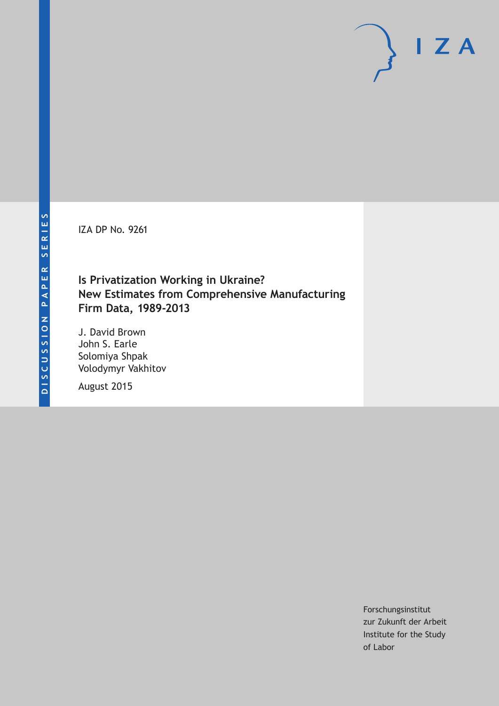IZA DP No. 9261

# **Is Privatization Working in Ukraine? New Estimates from Comprehensive Manufacturing Firm Data, 1989-2013**

J. David Brown John S. Earle Solomiya Shpak Volodymyr Vakhitov

August 2015

Forschungsinstitut zur Zukunft der Arbeit Institute for the Study of Labor

 $I Z A$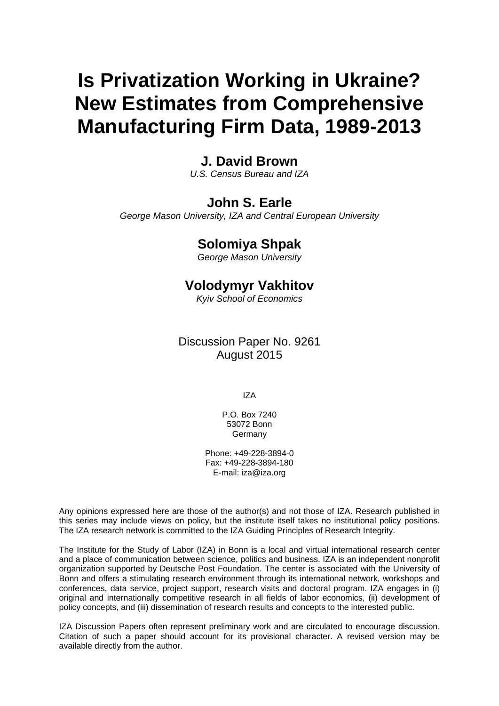# **Is Privatization Working in Ukraine? New Estimates from Comprehensive Manufacturing Firm Data, 1989-2013**

# **J. David Brown**

*U.S. Census Bureau and IZA* 

# **John S. Earle**

*George Mason University, IZA and Central European University* 

# **Solomiya Shpak**

*George Mason University*

# **Volodymyr Vakhitov**

*Kyiv School of Economics* 

Discussion Paper No. 9261 August 2015

IZA

P.O. Box 7240 53072 Bonn **Germany** 

Phone: +49-228-3894-0 Fax: +49-228-3894-180 E-mail: iza@iza.org

Any opinions expressed here are those of the author(s) and not those of IZA. Research published in this series may include views on policy, but the institute itself takes no institutional policy positions. The IZA research network is committed to the IZA Guiding Principles of Research Integrity.

The Institute for the Study of Labor (IZA) in Bonn is a local and virtual international research center and a place of communication between science, politics and business. IZA is an independent nonprofit organization supported by Deutsche Post Foundation. The center is associated with the University of Bonn and offers a stimulating research environment through its international network, workshops and conferences, data service, project support, research visits and doctoral program. IZA engages in (i) original and internationally competitive research in all fields of labor economics, (ii) development of policy concepts, and (iii) dissemination of research results and concepts to the interested public.

IZA Discussion Papers often represent preliminary work and are circulated to encourage discussion. Citation of such a paper should account for its provisional character. A revised version may be available directly from the author.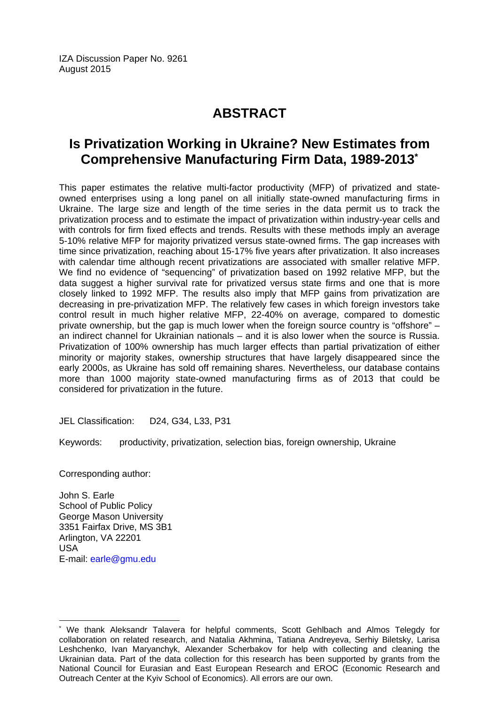IZA Discussion Paper No. 9261 August 2015

# **ABSTRACT**

# **Is Privatization Working in Ukraine? New Estimates from Comprehensive Manufacturing Firm Data, 1989-2013\***

This paper estimates the relative multi-factor productivity (MFP) of privatized and stateowned enterprises using a long panel on all initially state-owned manufacturing firms in Ukraine. The large size and length of the time series in the data permit us to track the privatization process and to estimate the impact of privatization within industry-year cells and with controls for firm fixed effects and trends. Results with these methods imply an average 5-10% relative MFP for majority privatized versus state-owned firms. The gap increases with time since privatization, reaching about 15-17% five years after privatization. It also increases with calendar time although recent privatizations are associated with smaller relative MFP. We find no evidence of "sequencing" of privatization based on 1992 relative MFP, but the data suggest a higher survival rate for privatized versus state firms and one that is more closely linked to 1992 MFP. The results also imply that MFP gains from privatization are decreasing in pre-privatization MFP. The relatively few cases in which foreign investors take control result in much higher relative MFP, 22-40% on average, compared to domestic private ownership, but the gap is much lower when the foreign source country is "offshore" – an indirect channel for Ukrainian nationals – and it is also lower when the source is Russia. Privatization of 100% ownership has much larger effects than partial privatization of either minority or majority stakes, ownership structures that have largely disappeared since the early 2000s, as Ukraine has sold off remaining shares. Nevertheless, our database contains more than 1000 majority state-owned manufacturing firms as of 2013 that could be considered for privatization in the future.

JEL Classification: D24, G34, L33, P31

Keywords: productivity, privatization, selection bias, foreign ownership, Ukraine

Corresponding author:

John S. Earle School of Public Policy George Mason University 3351 Fairfax Drive, MS 3B1 Arlington, VA 22201 USA E-mail: earle@gmu.edu

 $\overline{a}$ 

<sup>\*</sup> We thank Aleksandr Talavera for helpful comments, Scott Gehlbach and Almos Telegdy for collaboration on related research, and Natalia Akhmina, Tatiana Andreyeva, Serhiy Biletsky, Larisa Leshchenko, Ivan Maryanchyk, Alexander Scherbakov for help with collecting and cleaning the Ukrainian data. Part of the data collection for this research has been supported by grants from the National Council for Eurasian and East European Research and EROC (Economic Research and Outreach Center at the Kyiv School of Economics). All errors are our own.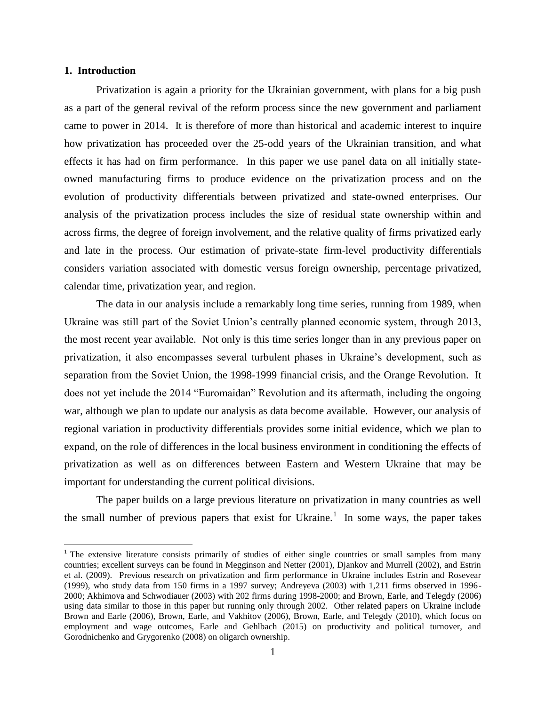#### **1. Introduction**

 $\overline{a}$ 

Privatization is again a priority for the Ukrainian government, with plans for a big push as a part of the general revival of the reform process since the new government and parliament came to power in 2014. It is therefore of more than historical and academic interest to inquire how privatization has proceeded over the 25-odd years of the Ukrainian transition, and what effects it has had on firm performance. In this paper we use panel data on all initially stateowned manufacturing firms to produce evidence on the privatization process and on the evolution of productivity differentials between privatized and state-owned enterprises. Our analysis of the privatization process includes the size of residual state ownership within and across firms, the degree of foreign involvement, and the relative quality of firms privatized early and late in the process. Our estimation of private-state firm-level productivity differentials considers variation associated with domestic versus foreign ownership, percentage privatized, calendar time, privatization year, and region.

The data in our analysis include a remarkably long time series, running from 1989, when Ukraine was still part of the Soviet Union's centrally planned economic system, through 2013, the most recent year available. Not only is this time series longer than in any previous paper on privatization, it also encompasses several turbulent phases in Ukraine's development, such as separation from the Soviet Union, the 1998-1999 financial crisis, and the Orange Revolution. It does not yet include the 2014 "Euromaidan" Revolution and its aftermath, including the ongoing war, although we plan to update our analysis as data become available. However, our analysis of regional variation in productivity differentials provides some initial evidence, which we plan to expand, on the role of differences in the local business environment in conditioning the effects of privatization as well as on differences between Eastern and Western Ukraine that may be important for understanding the current political divisions.

The paper builds on a large previous literature on privatization in many countries as well the small number of previous papers that exist for Ukraine.<sup>1</sup> In some ways, the paper takes

<sup>&</sup>lt;sup>1</sup> The extensive literature consists primarily of studies of either single countries or small samples from many countries; excellent surveys can be found in Megginson and Netter (2001), Djankov and Murrell (2002), and Estrin et al. (2009). Previous research on privatization and firm performance in Ukraine includes Estrin and Rosevear (1999), who study data from 150 firms in a 1997 survey; Andreyeva (2003) with 1,211 firms observed in 1996- 2000; Akhimova and Schwodiauer (2003) with 202 firms during 1998-2000; and Brown, Earle, and Telegdy (2006) using data similar to those in this paper but running only through 2002. Other related papers on Ukraine include Brown and Earle (2006), Brown, Earle, and Vakhitov (2006), Brown, Earle, and Telegdy (2010), which focus on employment and wage outcomes, Earle and Gehlbach (2015) on productivity and political turnover, and Gorodnichenko and Grygorenko (2008) on oligarch ownership.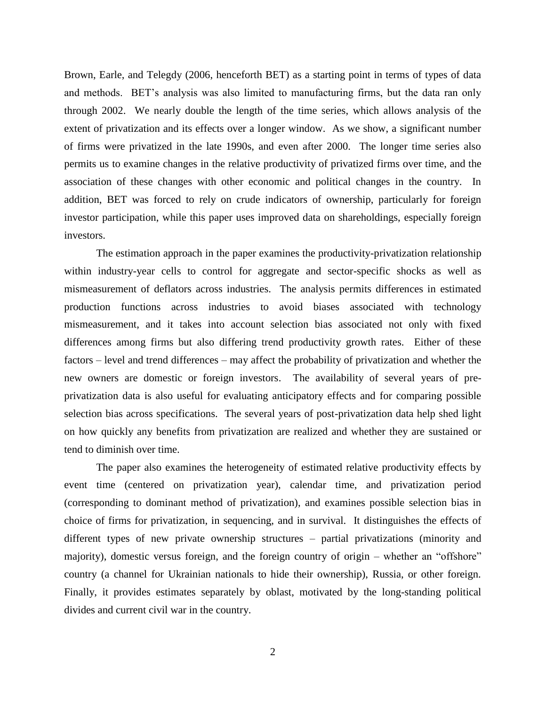Brown, Earle, and Telegdy (2006, henceforth BET) as a starting point in terms of types of data and methods. BET's analysis was also limited to manufacturing firms, but the data ran only through 2002. We nearly double the length of the time series, which allows analysis of the extent of privatization and its effects over a longer window. As we show, a significant number of firms were privatized in the late 1990s, and even after 2000. The longer time series also permits us to examine changes in the relative productivity of privatized firms over time, and the association of these changes with other economic and political changes in the country. In addition, BET was forced to rely on crude indicators of ownership, particularly for foreign investor participation, while this paper uses improved data on shareholdings, especially foreign investors.

The estimation approach in the paper examines the productivity-privatization relationship within industry-year cells to control for aggregate and sector-specific shocks as well as mismeasurement of deflators across industries. The analysis permits differences in estimated production functions across industries to avoid biases associated with technology mismeasurement, and it takes into account selection bias associated not only with fixed differences among firms but also differing trend productivity growth rates. Either of these factors – level and trend differences – may affect the probability of privatization and whether the new owners are domestic or foreign investors. The availability of several years of preprivatization data is also useful for evaluating anticipatory effects and for comparing possible selection bias across specifications. The several years of post-privatization data help shed light on how quickly any benefits from privatization are realized and whether they are sustained or tend to diminish over time.

The paper also examines the heterogeneity of estimated relative productivity effects by event time (centered on privatization year), calendar time, and privatization period (corresponding to dominant method of privatization), and examines possible selection bias in choice of firms for privatization, in sequencing, and in survival. It distinguishes the effects of different types of new private ownership structures – partial privatizations (minority and majority), domestic versus foreign, and the foreign country of origin – whether an "offshore" country (a channel for Ukrainian nationals to hide their ownership), Russia, or other foreign. Finally, it provides estimates separately by oblast, motivated by the long-standing political divides and current civil war in the country.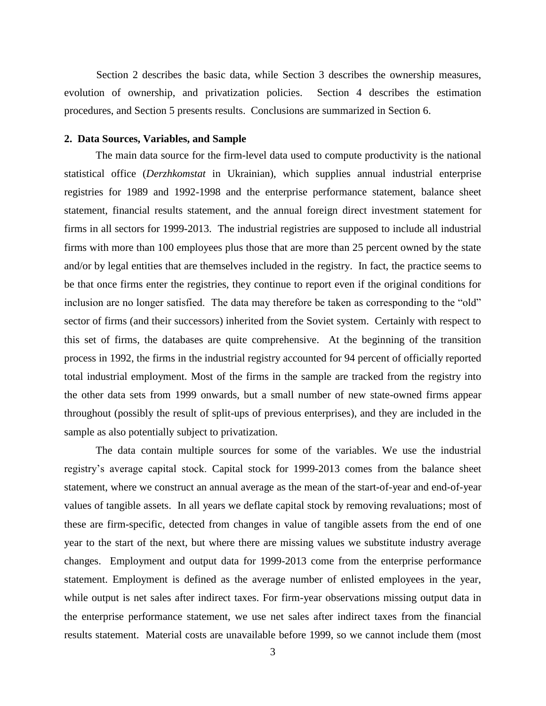Section 2 describes the basic data, while Section 3 describes the ownership measures, evolution of ownership, and privatization policies. Section 4 describes the estimation procedures, and Section 5 presents results. Conclusions are summarized in Section 6.

#### **2. Data Sources, Variables, and Sample**

The main data source for the firm-level data used to compute productivity is the national statistical office (*Derzhkomstat* in Ukrainian), which supplies annual industrial enterprise registries for 1989 and 1992-1998 and the enterprise performance statement, balance sheet statement, financial results statement, and the annual foreign direct investment statement for firms in all sectors for 1999-2013. The industrial registries are supposed to include all industrial firms with more than 100 employees plus those that are more than 25 percent owned by the state and/or by legal entities that are themselves included in the registry. In fact, the practice seems to be that once firms enter the registries, they continue to report even if the original conditions for inclusion are no longer satisfied. The data may therefore be taken as corresponding to the "old" sector of firms (and their successors) inherited from the Soviet system. Certainly with respect to this set of firms, the databases are quite comprehensive. At the beginning of the transition process in 1992, the firms in the industrial registry accounted for 94 percent of officially reported total industrial employment. Most of the firms in the sample are tracked from the registry into the other data sets from 1999 onwards, but a small number of new state-owned firms appear throughout (possibly the result of split-ups of previous enterprises), and they are included in the sample as also potentially subject to privatization.

The data contain multiple sources for some of the variables. We use the industrial registry's average capital stock. Capital stock for 1999-2013 comes from the balance sheet statement, where we construct an annual average as the mean of the start-of-year and end-of-year values of tangible assets. In all years we deflate capital stock by removing revaluations; most of these are firm-specific, detected from changes in value of tangible assets from the end of one year to the start of the next, but where there are missing values we substitute industry average changes. Employment and output data for 1999-2013 come from the enterprise performance statement. Employment is defined as the average number of enlisted employees in the year, while output is net sales after indirect taxes. For firm-year observations missing output data in the enterprise performance statement, we use net sales after indirect taxes from the financial results statement. Material costs are unavailable before 1999, so we cannot include them (most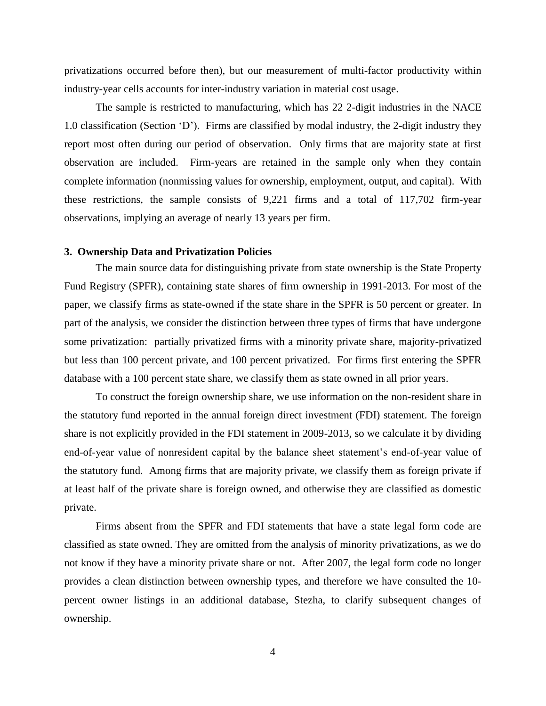privatizations occurred before then), but our measurement of multi-factor productivity within industry-year cells accounts for inter-industry variation in material cost usage.

The sample is restricted to manufacturing, which has 22 2-digit industries in the NACE 1.0 classification (Section 'D'). Firms are classified by modal industry, the 2-digit industry they report most often during our period of observation. Only firms that are majority state at first observation are included. Firm-years are retained in the sample only when they contain complete information (nonmissing values for ownership, employment, output, and capital). With these restrictions, the sample consists of 9,221 firms and a total of 117,702 firm-year observations, implying an average of nearly 13 years per firm.

#### **3. Ownership Data and Privatization Policies**

The main source data for distinguishing private from state ownership is the State Property Fund Registry (SPFR), containing state shares of firm ownership in 1991-2013. For most of the paper, we classify firms as state-owned if the state share in the SPFR is 50 percent or greater. In part of the analysis, we consider the distinction between three types of firms that have undergone some privatization: partially privatized firms with a minority private share, majority-privatized but less than 100 percent private, and 100 percent privatized. For firms first entering the SPFR database with a 100 percent state share, we classify them as state owned in all prior years.

To construct the foreign ownership share, we use information on the non-resident share in the statutory fund reported in the annual foreign direct investment (FDI) statement. The foreign share is not explicitly provided in the FDI statement in 2009-2013, so we calculate it by dividing end-of-year value of nonresident capital by the balance sheet statement's end-of-year value of the statutory fund. Among firms that are majority private, we classify them as foreign private if at least half of the private share is foreign owned, and otherwise they are classified as domestic private.

Firms absent from the SPFR and FDI statements that have a state legal form code are classified as state owned. They are omitted from the analysis of minority privatizations, as we do not know if they have a minority private share or not. After 2007, the legal form code no longer provides a clean distinction between ownership types, and therefore we have consulted the 10 percent owner listings in an additional database, Stezha, to clarify subsequent changes of ownership.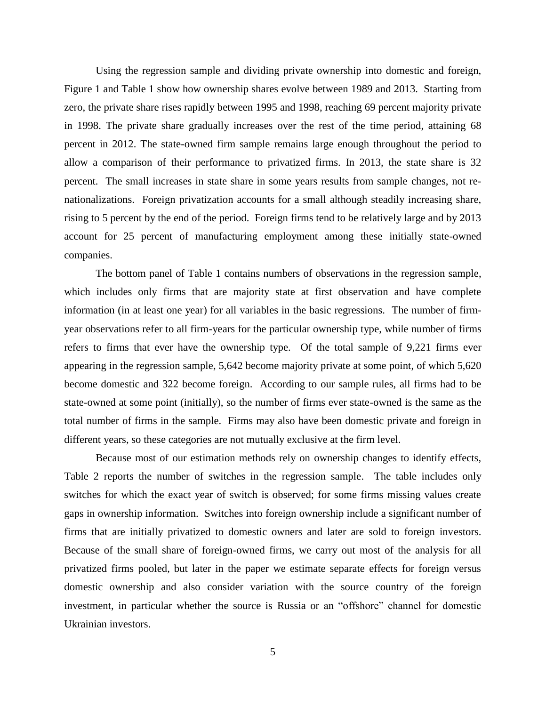Using the regression sample and dividing private ownership into domestic and foreign, Figure 1 and Table 1 show how ownership shares evolve between 1989 and 2013. Starting from zero, the private share rises rapidly between 1995 and 1998, reaching 69 percent majority private in 1998. The private share gradually increases over the rest of the time period, attaining 68 percent in 2012. The state-owned firm sample remains large enough throughout the period to allow a comparison of their performance to privatized firms. In 2013, the state share is 32 percent. The small increases in state share in some years results from sample changes, not renationalizations. Foreign privatization accounts for a small although steadily increasing share, rising to 5 percent by the end of the period. Foreign firms tend to be relatively large and by 2013 account for 25 percent of manufacturing employment among these initially state-owned companies.

The bottom panel of Table 1 contains numbers of observations in the regression sample, which includes only firms that are majority state at first observation and have complete information (in at least one year) for all variables in the basic regressions. The number of firmyear observations refer to all firm-years for the particular ownership type, while number of firms refers to firms that ever have the ownership type. Of the total sample of 9,221 firms ever appearing in the regression sample, 5,642 become majority private at some point, of which 5,620 become domestic and 322 become foreign. According to our sample rules, all firms had to be state-owned at some point (initially), so the number of firms ever state-owned is the same as the total number of firms in the sample. Firms may also have been domestic private and foreign in different years, so these categories are not mutually exclusive at the firm level.

Because most of our estimation methods rely on ownership changes to identify effects, Table 2 reports the number of switches in the regression sample. The table includes only switches for which the exact year of switch is observed; for some firms missing values create gaps in ownership information. Switches into foreign ownership include a significant number of firms that are initially privatized to domestic owners and later are sold to foreign investors. Because of the small share of foreign-owned firms, we carry out most of the analysis for all privatized firms pooled, but later in the paper we estimate separate effects for foreign versus domestic ownership and also consider variation with the source country of the foreign investment, in particular whether the source is Russia or an "offshore" channel for domestic Ukrainian investors.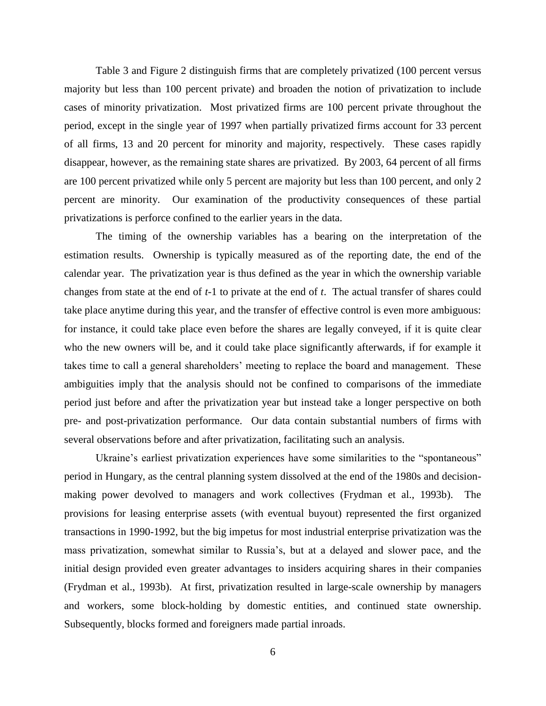Table 3 and Figure 2 distinguish firms that are completely privatized (100 percent versus majority but less than 100 percent private) and broaden the notion of privatization to include cases of minority privatization. Most privatized firms are 100 percent private throughout the period, except in the single year of 1997 when partially privatized firms account for 33 percent of all firms, 13 and 20 percent for minority and majority, respectively. These cases rapidly disappear, however, as the remaining state shares are privatized. By 2003, 64 percent of all firms are 100 percent privatized while only 5 percent are majority but less than 100 percent, and only 2 percent are minority. Our examination of the productivity consequences of these partial privatizations is perforce confined to the earlier years in the data.

The timing of the ownership variables has a bearing on the interpretation of the estimation results. Ownership is typically measured as of the reporting date, the end of the calendar year. The privatization year is thus defined as the year in which the ownership variable changes from state at the end of *t*-1 to private at the end of *t*. The actual transfer of shares could take place anytime during this year, and the transfer of effective control is even more ambiguous: for instance, it could take place even before the shares are legally conveyed, if it is quite clear who the new owners will be, and it could take place significantly afterwards, if for example it takes time to call a general shareholders' meeting to replace the board and management. These ambiguities imply that the analysis should not be confined to comparisons of the immediate period just before and after the privatization year but instead take a longer perspective on both pre- and post-privatization performance. Our data contain substantial numbers of firms with several observations before and after privatization, facilitating such an analysis.

Ukraine's earliest privatization experiences have some similarities to the "spontaneous" period in Hungary, as the central planning system dissolved at the end of the 1980s and decisionmaking power devolved to managers and work collectives (Frydman et al., 1993b). The provisions for leasing enterprise assets (with eventual buyout) represented the first organized transactions in 1990-1992, but the big impetus for most industrial enterprise privatization was the mass privatization, somewhat similar to Russia's, but at a delayed and slower pace, and the initial design provided even greater advantages to insiders acquiring shares in their companies (Frydman et al., 1993b). At first, privatization resulted in large-scale ownership by managers and workers, some block-holding by domestic entities, and continued state ownership. Subsequently, blocks formed and foreigners made partial inroads.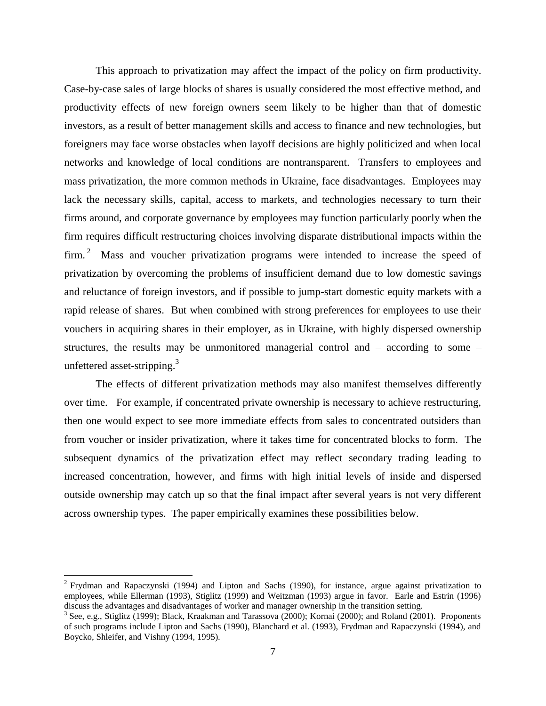This approach to privatization may affect the impact of the policy on firm productivity. Case-by-case sales of large blocks of shares is usually considered the most effective method, and productivity effects of new foreign owners seem likely to be higher than that of domestic investors, as a result of better management skills and access to finance and new technologies, but foreigners may face worse obstacles when layoff decisions are highly politicized and when local networks and knowledge of local conditions are nontransparent. Transfers to employees and mass privatization, the more common methods in Ukraine, face disadvantages. Employees may lack the necessary skills, capital, access to markets, and technologies necessary to turn their firms around, and corporate governance by employees may function particularly poorly when the firm requires difficult restructuring choices involving disparate distributional impacts within the firm.<sup>2</sup> Mass and voucher privatization programs were intended to increase the speed of privatization by overcoming the problems of insufficient demand due to low domestic savings and reluctance of foreign investors, and if possible to jump-start domestic equity markets with a rapid release of shares. But when combined with strong preferences for employees to use their vouchers in acquiring shares in their employer, as in Ukraine, with highly dispersed ownership structures, the results may be unmonitored managerial control and – according to some – unfettered asset-stripping.<sup>3</sup>

The effects of different privatization methods may also manifest themselves differently over time. For example, if concentrated private ownership is necessary to achieve restructuring, then one would expect to see more immediate effects from sales to concentrated outsiders than from voucher or insider privatization, where it takes time for concentrated blocks to form. The subsequent dynamics of the privatization effect may reflect secondary trading leading to increased concentration, however, and firms with high initial levels of inside and dispersed outside ownership may catch up so that the final impact after several years is not very different across ownership types. The paper empirically examines these possibilities below.

 $\overline{a}$ 

<sup>&</sup>lt;sup>2</sup> Frydman and Rapaczynski (1994) and Lipton and Sachs (1990), for instance, argue against privatization to employees, while Ellerman (1993), Stiglitz (1999) and Weitzman (1993) argue in favor. Earle and Estrin (1996) discuss the advantages and disadvantages of worker and manager ownership in the transition setting.

 $3$  See, e.g., Stiglitz (1999); Black, Kraakman and Tarassova (2000); Kornai (2000); and Roland (2001). Proponents of such programs include Lipton and Sachs (1990), Blanchard et al. (1993), Frydman and Rapaczynski (1994), and Boycko, Shleifer, and Vishny (1994, 1995).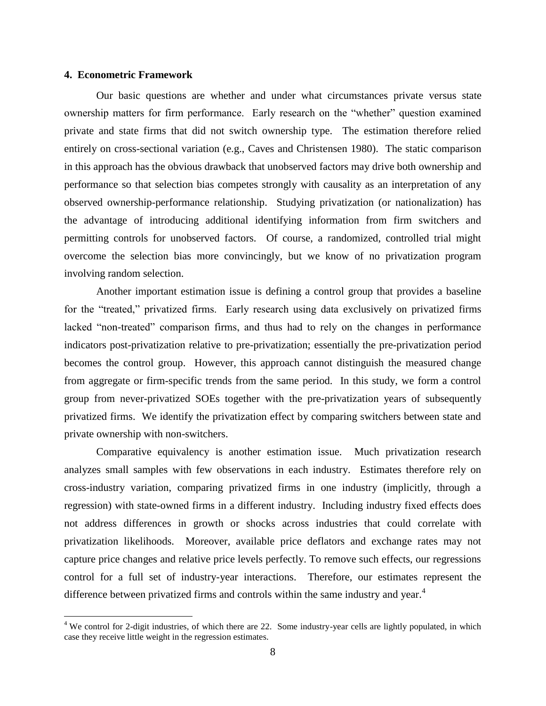#### **4. Econometric Framework**

 $\overline{a}$ 

Our basic questions are whether and under what circumstances private versus state ownership matters for firm performance. Early research on the "whether" question examined private and state firms that did not switch ownership type. The estimation therefore relied entirely on cross-sectional variation (e.g., Caves and Christensen 1980). The static comparison in this approach has the obvious drawback that unobserved factors may drive both ownership and performance so that selection bias competes strongly with causality as an interpretation of any observed ownership-performance relationship. Studying privatization (or nationalization) has the advantage of introducing additional identifying information from firm switchers and permitting controls for unobserved factors. Of course, a randomized, controlled trial might overcome the selection bias more convincingly, but we know of no privatization program involving random selection.

Another important estimation issue is defining a control group that provides a baseline for the "treated," privatized firms. Early research using data exclusively on privatized firms lacked "non-treated" comparison firms, and thus had to rely on the changes in performance indicators post-privatization relative to pre-privatization; essentially the pre-privatization period becomes the control group. However, this approach cannot distinguish the measured change from aggregate or firm-specific trends from the same period. In this study, we form a control group from never-privatized SOEs together with the pre-privatization years of subsequently privatized firms. We identify the privatization effect by comparing switchers between state and private ownership with non-switchers.

Comparative equivalency is another estimation issue. Much privatization research analyzes small samples with few observations in each industry. Estimates therefore rely on cross-industry variation, comparing privatized firms in one industry (implicitly, through a regression) with state-owned firms in a different industry. Including industry fixed effects does not address differences in growth or shocks across industries that could correlate with privatization likelihoods. Moreover, available price deflators and exchange rates may not capture price changes and relative price levels perfectly. To remove such effects, our regressions control for a full set of industry-year interactions. Therefore, our estimates represent the difference between privatized firms and controls within the same industry and year.<sup>4</sup>

 $4$  We control for 2-digit industries, of which there are 22. Some industry-year cells are lightly populated, in which case they receive little weight in the regression estimates.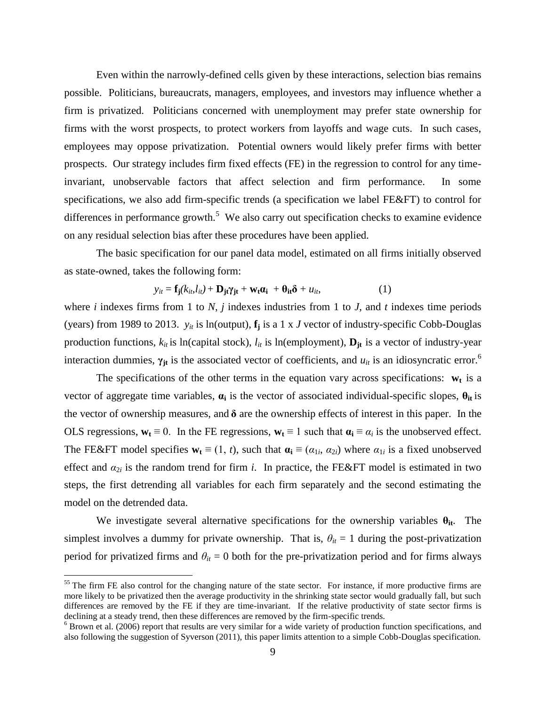Even within the narrowly-defined cells given by these interactions, selection bias remains possible. Politicians, bureaucrats, managers, employees, and investors may influence whether a firm is privatized. Politicians concerned with unemployment may prefer state ownership for firms with the worst prospects, to protect workers from layoffs and wage cuts. In such cases, employees may oppose privatization. Potential owners would likely prefer firms with better prospects. Our strategy includes firm fixed effects (FE) in the regression to control for any timeinvariant, unobservable factors that affect selection and firm performance. In some specifications, we also add firm-specific trends (a specification we label FE&FT) to control for differences in performance growth.<sup>5</sup> We also carry out specification checks to examine evidence on any residual selection bias after these procedures have been applied.

The basic specification for our panel data model, estimated on all firms initially observed as state-owned, takes the following form:

$$
y_{it} = \mathbf{f}_{j}(k_{it}, l_{it}) + \mathbf{D}_{jt}\gamma_{jt} + \mathbf{w}_{t}\alpha_{i} + \theta_{it}\delta + u_{it},
$$
\n(1)

where *i* indexes firms from 1 to *N*, *j* indexes industries from 1 to *J*, and *t* indexes time periods (years) from 1989 to 2013.  $y_{it}$  is ln(output),  $f_i$  is a 1 x *J* vector of industry-specific Cobb-Douglas production functions,  $k_{it}$  is ln(capital stock),  $l_{it}$  is ln(employment),  $\mathbf{D}_{it}$  is a vector of industry-year interaction dummies,  $\gamma_{jt}$  is the associated vector of coefficients, and  $u_{it}$  is an idiosyncratic error.<sup>6</sup>

The specifications of the other terms in the equation vary across specifications:  $w_t$  is a vector of aggregate time variables, **α<sup>i</sup>** is the vector of associated individual-specific slopes, **θit** is the vector of ownership measures, and **δ** are the ownership effects of interest in this paper. In the OLS regressions,  $w_t \equiv 0$ . In the FE regressions,  $w_t \equiv 1$  such that  $\alpha_i \equiv \alpha_i$  is the unobserved effect. The FE&FT model specifies  $\mathbf{w}_t \equiv (1, t)$ , such that  $\mathbf{a}_i \equiv (\alpha_{1i}, \alpha_{2i})$  where  $\alpha_{1i}$  is a fixed unobserved effect and  $\alpha_{2i}$  is the random trend for firm *i*. In practice, the FE&FT model is estimated in two steps, the first detrending all variables for each firm separately and the second estimating the model on the detrended data.

We investigate several alternative specifications for the ownership variables  $\theta_{it}$ . The simplest involves a dummy for private ownership. That is,  $\theta_{it} = 1$  during the post-privatization period for privatized firms and  $\theta_{it} = 0$  both for the pre-privatization period and for firms always

 $\overline{a}$ 

 $55$  The firm FE also control for the changing nature of the state sector. For instance, if more productive firms are more likely to be privatized then the average productivity in the shrinking state sector would gradually fall, but such differences are removed by the FE if they are time-invariant. If the relative productivity of state sector firms is declining at a steady trend, then these differences are removed by the firm-specific trends.

 $6$  Brown et al. (2006) report that results are very similar for a wide variety of production function specifications, and also following the suggestion of Syverson (2011), this paper limits attention to a simple Cobb-Douglas specification.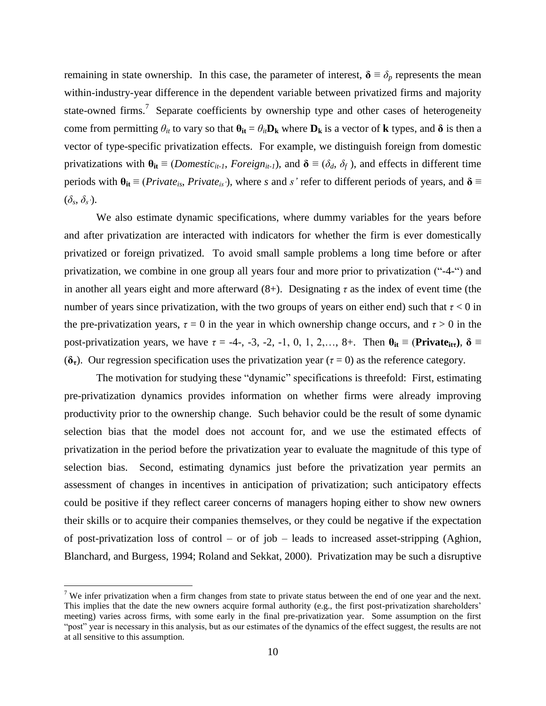remaining in state ownership. In this case, the parameter of interest,  $\delta \equiv \delta_p$  represents the mean within-industry-year difference in the dependent variable between privatized firms and majority state-owned firms.<sup>7</sup> Separate coefficients by ownership type and other cases of heterogeneity come from permitting  $\theta_{it}$  to vary so that  $\theta_{it} = \theta_{it}D_k$  where  $D_k$  is a vector of **k** types, and  $\delta$  is then a vector of type-specific privatization effects. For example, we distinguish foreign from domestic privatizations with  $\theta_{it} \equiv (Domestic_{it-1}, Foreign, Foreign_{it-1})$ , and  $\delta \equiv (\delta_d, \delta_f)$ , and effects in different time periods with  $\theta_{it} \equiv (Private_{is}, Private_{is})$ , where *s* and *s'* refer to different periods of years, and  $\delta \equiv$  $(\delta_s, \delta_{s})$ .

We also estimate dynamic specifications, where dummy variables for the years before and after privatization are interacted with indicators for whether the firm is ever domestically privatized or foreign privatized. To avoid small sample problems a long time before or after privatization, we combine in one group all years four and more prior to privatization ("-4-") and in another all years eight and more afterward  $(8+)$ . Designating  $\tau$  as the index of event time (the number of years since privatization, with the two groups of years on either end) such that  $\tau < 0$  in the pre-privatization years,  $\tau = 0$  in the year in which ownership change occurs, and  $\tau > 0$  in the post-privatization years, we have  $\tau = -4$ -, -3, -2, -1, 0, 1, 2,..., 8+. Then  $\theta_{it} \equiv (\text{Private}_{it\tau})$ ,  $\delta \equiv$ (**δτ**). Our regression specification uses the privatization year (*τ* = 0) as the reference category.

The motivation for studying these "dynamic" specifications is threefold: First, estimating pre-privatization dynamics provides information on whether firms were already improving productivity prior to the ownership change. Such behavior could be the result of some dynamic selection bias that the model does not account for, and we use the estimated effects of privatization in the period before the privatization year to evaluate the magnitude of this type of selection bias. Second, estimating dynamics just before the privatization year permits an assessment of changes in incentives in anticipation of privatization; such anticipatory effects could be positive if they reflect career concerns of managers hoping either to show new owners their skills or to acquire their companies themselves, or they could be negative if the expectation of post-privatization loss of control – or of job – leads to increased asset-stripping (Aghion, Blanchard, and Burgess, 1994; Roland and Sekkat, 2000). Privatization may be such a disruptive

 $\overline{a}$ 

<sup>&</sup>lt;sup>7</sup> We infer privatization when a firm changes from state to private status between the end of one year and the next. This implies that the date the new owners acquire formal authority (e.g., the first post-privatization shareholders' meeting) varies across firms, with some early in the final pre-privatization year. Some assumption on the first "post" year is necessary in this analysis, but as our estimates of the dynamics of the effect suggest, the results are not at all sensitive to this assumption.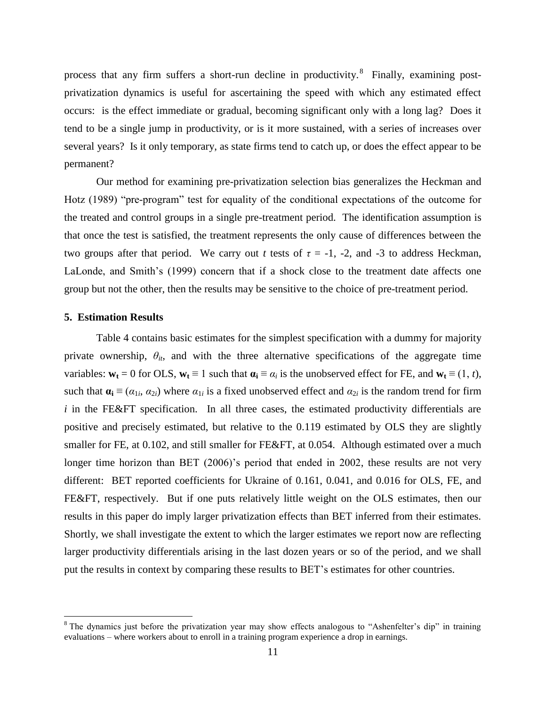process that any firm suffers a short-run decline in productivity. <sup>8</sup> Finally, examining postprivatization dynamics is useful for ascertaining the speed with which any estimated effect occurs: is the effect immediate or gradual, becoming significant only with a long lag? Does it tend to be a single jump in productivity, or is it more sustained, with a series of increases over several years? Is it only temporary, as state firms tend to catch up, or does the effect appear to be permanent?

Our method for examining pre-privatization selection bias generalizes the Heckman and Hotz (1989) "pre-program" test for equality of the conditional expectations of the outcome for the treated and control groups in a single pre-treatment period. The identification assumption is that once the test is satisfied, the treatment represents the only cause of differences between the two groups after that period. We carry out *t* tests of  $\tau = -1$ ,  $-2$ , and  $-3$  to address Heckman, LaLonde, and Smith's (1999) concern that if a shock close to the treatment date affects one group but not the other, then the results may be sensitive to the choice of pre-treatment period.

#### **5. Estimation Results**

 $\overline{a}$ 

Table 4 contains basic estimates for the simplest specification with a dummy for majority private ownership,  $\theta_{it}$ , and with the three alternative specifications of the aggregate time variables:  $\mathbf{w}_t = 0$  for OLS,  $\mathbf{w}_t \equiv 1$  such that  $\mathbf{a}_i \equiv \alpha_i$  is the unobserved effect for FE, and  $\mathbf{w}_t \equiv (1, t)$ , such that  $\mathbf{a_i} \equiv (\alpha_{1i}, \alpha_{2i})$  where  $\alpha_{1i}$  is a fixed unobserved effect and  $\alpha_{2i}$  is the random trend for firm *i* in the FE&FT specification. In all three cases, the estimated productivity differentials are positive and precisely estimated, but relative to the 0.119 estimated by OLS they are slightly smaller for FE, at 0.102, and still smaller for FE&FT, at 0.054. Although estimated over a much longer time horizon than BET (2006)'s period that ended in 2002, these results are not very different: BET reported coefficients for Ukraine of 0.161, 0.041, and 0.016 for OLS, FE, and FE&FT, respectively. But if one puts relatively little weight on the OLS estimates, then our results in this paper do imply larger privatization effects than BET inferred from their estimates. Shortly, we shall investigate the extent to which the larger estimates we report now are reflecting larger productivity differentials arising in the last dozen years or so of the period, and we shall put the results in context by comparing these results to BET's estimates for other countries.

 $8$  The dynamics just before the privatization year may show effects analogous to "Ashenfelter's dip" in training evaluations – where workers about to enroll in a training program experience a drop in earnings.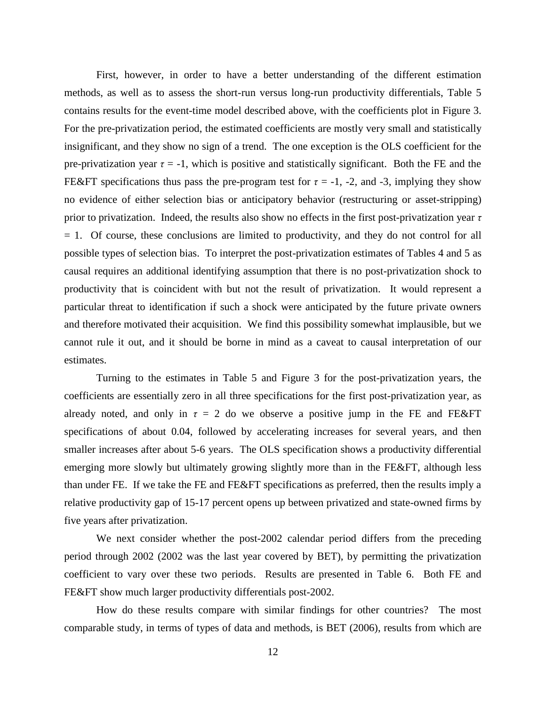First, however, in order to have a better understanding of the different estimation methods, as well as to assess the short-run versus long-run productivity differentials, Table 5 contains results for the event-time model described above, with the coefficients plot in Figure 3. For the pre-privatization period, the estimated coefficients are mostly very small and statistically insignificant, and they show no sign of a trend. The one exception is the OLS coefficient for the pre-privatization year  $\tau = -1$ , which is positive and statistically significant. Both the FE and the FE&FT specifications thus pass the pre-program test for  $\tau = -1$ , -2, and -3, implying they show no evidence of either selection bias or anticipatory behavior (restructuring or asset-stripping) prior to privatization. Indeed, the results also show no effects in the first post-privatization year *τ*  $= 1$ . Of course, these conclusions are limited to productivity, and they do not control for all possible types of selection bias. To interpret the post-privatization estimates of Tables 4 and 5 as causal requires an additional identifying assumption that there is no post-privatization shock to productivity that is coincident with but not the result of privatization. It would represent a particular threat to identification if such a shock were anticipated by the future private owners and therefore motivated their acquisition. We find this possibility somewhat implausible, but we cannot rule it out, and it should be borne in mind as a caveat to causal interpretation of our estimates.

Turning to the estimates in Table 5 and Figure 3 for the post-privatization years, the coefficients are essentially zero in all three specifications for the first post-privatization year, as already noted, and only in  $\tau = 2$  do we observe a positive jump in the FE and FE&FT specifications of about 0.04, followed by accelerating increases for several years, and then smaller increases after about 5-6 years. The OLS specification shows a productivity differential emerging more slowly but ultimately growing slightly more than in the FE&FT, although less than under FE. If we take the FE and FE&FT specifications as preferred, then the results imply a relative productivity gap of 15-17 percent opens up between privatized and state-owned firms by five years after privatization.

We next consider whether the post-2002 calendar period differs from the preceding period through 2002 (2002 was the last year covered by BET), by permitting the privatization coefficient to vary over these two periods. Results are presented in Table 6. Both FE and FE&FT show much larger productivity differentials post-2002.

How do these results compare with similar findings for other countries? The most comparable study, in terms of types of data and methods, is BET (2006), results from which are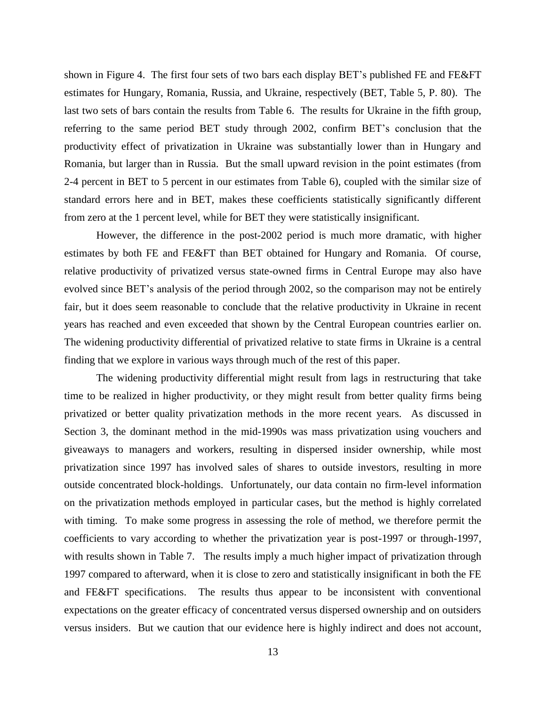shown in Figure 4. The first four sets of two bars each display BET's published FE and FE&FT estimates for Hungary, Romania, Russia, and Ukraine, respectively (BET, Table 5, P. 80). The last two sets of bars contain the results from Table 6. The results for Ukraine in the fifth group, referring to the same period BET study through 2002, confirm BET's conclusion that the productivity effect of privatization in Ukraine was substantially lower than in Hungary and Romania, but larger than in Russia. But the small upward revision in the point estimates (from 2-4 percent in BET to 5 percent in our estimates from Table 6), coupled with the similar size of standard errors here and in BET, makes these coefficients statistically significantly different from zero at the 1 percent level, while for BET they were statistically insignificant.

However, the difference in the post-2002 period is much more dramatic, with higher estimates by both FE and FE&FT than BET obtained for Hungary and Romania. Of course, relative productivity of privatized versus state-owned firms in Central Europe may also have evolved since BET's analysis of the period through 2002, so the comparison may not be entirely fair, but it does seem reasonable to conclude that the relative productivity in Ukraine in recent years has reached and even exceeded that shown by the Central European countries earlier on. The widening productivity differential of privatized relative to state firms in Ukraine is a central finding that we explore in various ways through much of the rest of this paper.

The widening productivity differential might result from lags in restructuring that take time to be realized in higher productivity, or they might result from better quality firms being privatized or better quality privatization methods in the more recent years. As discussed in Section 3, the dominant method in the mid-1990s was mass privatization using vouchers and giveaways to managers and workers, resulting in dispersed insider ownership, while most privatization since 1997 has involved sales of shares to outside investors, resulting in more outside concentrated block-holdings. Unfortunately, our data contain no firm-level information on the privatization methods employed in particular cases, but the method is highly correlated with timing. To make some progress in assessing the role of method, we therefore permit the coefficients to vary according to whether the privatization year is post-1997 or through-1997, with results shown in Table 7. The results imply a much higher impact of privatization through 1997 compared to afterward, when it is close to zero and statistically insignificant in both the FE and FE&FT specifications. The results thus appear to be inconsistent with conventional expectations on the greater efficacy of concentrated versus dispersed ownership and on outsiders versus insiders. But we caution that our evidence here is highly indirect and does not account,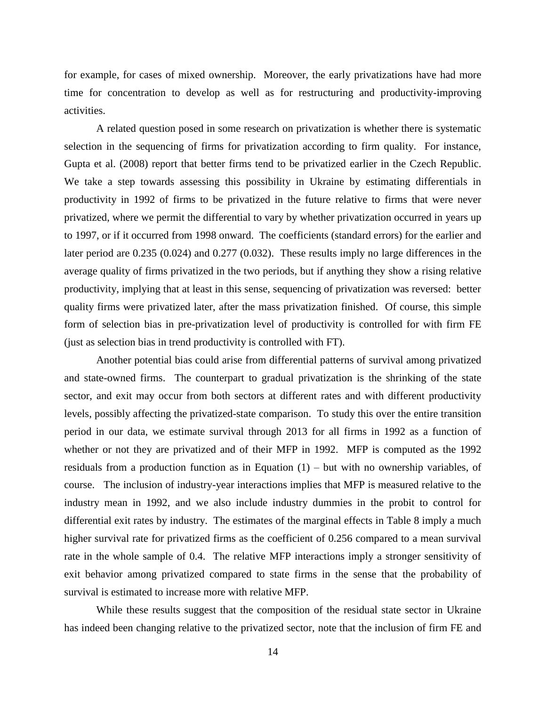for example, for cases of mixed ownership. Moreover, the early privatizations have had more time for concentration to develop as well as for restructuring and productivity-improving activities.

A related question posed in some research on privatization is whether there is systematic selection in the sequencing of firms for privatization according to firm quality. For instance, Gupta et al. (2008) report that better firms tend to be privatized earlier in the Czech Republic. We take a step towards assessing this possibility in Ukraine by estimating differentials in productivity in 1992 of firms to be privatized in the future relative to firms that were never privatized, where we permit the differential to vary by whether privatization occurred in years up to 1997, or if it occurred from 1998 onward. The coefficients (standard errors) for the earlier and later period are 0.235 (0.024) and 0.277 (0.032). These results imply no large differences in the average quality of firms privatized in the two periods, but if anything they show a rising relative productivity, implying that at least in this sense, sequencing of privatization was reversed: better quality firms were privatized later, after the mass privatization finished. Of course, this simple form of selection bias in pre-privatization level of productivity is controlled for with firm FE (just as selection bias in trend productivity is controlled with FT).

Another potential bias could arise from differential patterns of survival among privatized and state-owned firms. The counterpart to gradual privatization is the shrinking of the state sector, and exit may occur from both sectors at different rates and with different productivity levels, possibly affecting the privatized-state comparison. To study this over the entire transition period in our data, we estimate survival through 2013 for all firms in 1992 as a function of whether or not they are privatized and of their MFP in 1992. MFP is computed as the 1992 residuals from a production function as in Equation  $(1)$  – but with no ownership variables, of course. The inclusion of industry-year interactions implies that MFP is measured relative to the industry mean in 1992, and we also include industry dummies in the probit to control for differential exit rates by industry. The estimates of the marginal effects in Table 8 imply a much higher survival rate for privatized firms as the coefficient of 0.256 compared to a mean survival rate in the whole sample of 0.4. The relative MFP interactions imply a stronger sensitivity of exit behavior among privatized compared to state firms in the sense that the probability of survival is estimated to increase more with relative MFP.

While these results suggest that the composition of the residual state sector in Ukraine has indeed been changing relative to the privatized sector, note that the inclusion of firm FE and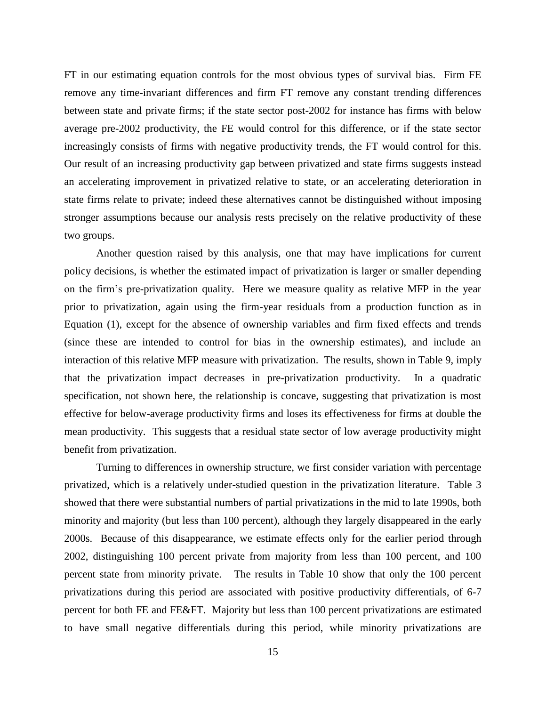FT in our estimating equation controls for the most obvious types of survival bias. Firm FE remove any time-invariant differences and firm FT remove any constant trending differences between state and private firms; if the state sector post-2002 for instance has firms with below average pre-2002 productivity, the FE would control for this difference, or if the state sector increasingly consists of firms with negative productivity trends, the FT would control for this. Our result of an increasing productivity gap between privatized and state firms suggests instead an accelerating improvement in privatized relative to state, or an accelerating deterioration in state firms relate to private; indeed these alternatives cannot be distinguished without imposing stronger assumptions because our analysis rests precisely on the relative productivity of these two groups.

Another question raised by this analysis, one that may have implications for current policy decisions, is whether the estimated impact of privatization is larger or smaller depending on the firm's pre-privatization quality. Here we measure quality as relative MFP in the year prior to privatization, again using the firm-year residuals from a production function as in Equation (1), except for the absence of ownership variables and firm fixed effects and trends (since these are intended to control for bias in the ownership estimates), and include an interaction of this relative MFP measure with privatization. The results, shown in Table 9, imply that the privatization impact decreases in pre-privatization productivity. In a quadratic specification, not shown here, the relationship is concave, suggesting that privatization is most effective for below-average productivity firms and loses its effectiveness for firms at double the mean productivity. This suggests that a residual state sector of low average productivity might benefit from privatization.

Turning to differences in ownership structure, we first consider variation with percentage privatized, which is a relatively under-studied question in the privatization literature. Table 3 showed that there were substantial numbers of partial privatizations in the mid to late 1990s, both minority and majority (but less than 100 percent), although they largely disappeared in the early 2000s. Because of this disappearance, we estimate effects only for the earlier period through 2002, distinguishing 100 percent private from majority from less than 100 percent, and 100 percent state from minority private. The results in Table 10 show that only the 100 percent privatizations during this period are associated with positive productivity differentials, of 6-7 percent for both FE and FE&FT. Majority but less than 100 percent privatizations are estimated to have small negative differentials during this period, while minority privatizations are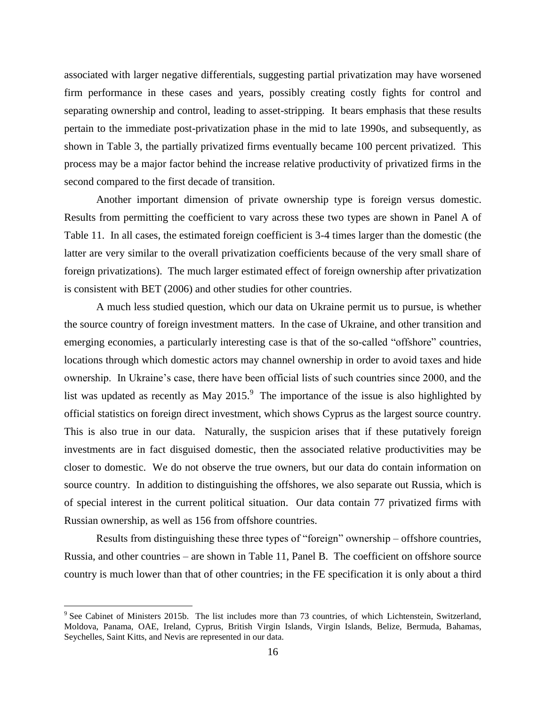associated with larger negative differentials, suggesting partial privatization may have worsened firm performance in these cases and years, possibly creating costly fights for control and separating ownership and control, leading to asset-stripping. It bears emphasis that these results pertain to the immediate post-privatization phase in the mid to late 1990s, and subsequently, as shown in Table 3, the partially privatized firms eventually became 100 percent privatized. This process may be a major factor behind the increase relative productivity of privatized firms in the second compared to the first decade of transition.

Another important dimension of private ownership type is foreign versus domestic. Results from permitting the coefficient to vary across these two types are shown in Panel A of Table 11. In all cases, the estimated foreign coefficient is 3-4 times larger than the domestic (the latter are very similar to the overall privatization coefficients because of the very small share of foreign privatizations). The much larger estimated effect of foreign ownership after privatization is consistent with BET (2006) and other studies for other countries.

A much less studied question, which our data on Ukraine permit us to pursue, is whether the source country of foreign investment matters. In the case of Ukraine, and other transition and emerging economies, a particularly interesting case is that of the so-called "offshore" countries, locations through which domestic actors may channel ownership in order to avoid taxes and hide ownership. In Ukraine's case, there have been official lists of such countries since 2000, and the list was updated as recently as May 2015. $9$  The importance of the issue is also highlighted by official statistics on foreign direct investment, which shows Cyprus as the largest source country. This is also true in our data. Naturally, the suspicion arises that if these putatively foreign investments are in fact disguised domestic, then the associated relative productivities may be closer to domestic. We do not observe the true owners, but our data do contain information on source country. In addition to distinguishing the offshores, we also separate out Russia, which is of special interest in the current political situation. Our data contain 77 privatized firms with Russian ownership, as well as 156 from offshore countries.

Results from distinguishing these three types of "foreign" ownership – offshore countries, Russia, and other countries – are shown in Table 11, Panel B. The coefficient on offshore source country is much lower than that of other countries; in the FE specification it is only about a third

 $\overline{a}$ 

<sup>&</sup>lt;sup>9</sup> See Cabinet of Ministers 2015b. The list includes more than 73 countries, of which Lichtenstein, Switzerland, Moldova, Panama, OAE, Ireland, Cyprus, British Virgin Islands, Virgin Islands, Belize, Bermuda, Bahamas, Seychelles, Saint Kitts, and Nevis are represented in our data.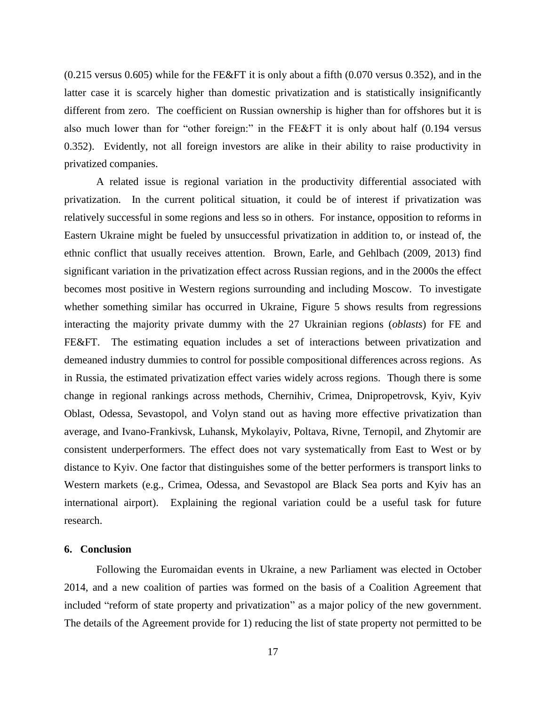(0.215 versus 0.605) while for the FE&FT it is only about a fifth (0.070 versus 0.352), and in the latter case it is scarcely higher than domestic privatization and is statistically insignificantly different from zero. The coefficient on Russian ownership is higher than for offshores but it is also much lower than for "other foreign:" in the FE&FT it is only about half (0.194 versus 0.352). Evidently, not all foreign investors are alike in their ability to raise productivity in privatized companies.

A related issue is regional variation in the productivity differential associated with privatization. In the current political situation, it could be of interest if privatization was relatively successful in some regions and less so in others. For instance, opposition to reforms in Eastern Ukraine might be fueled by unsuccessful privatization in addition to, or instead of, the ethnic conflict that usually receives attention. Brown, Earle, and Gehlbach (2009, 2013) find significant variation in the privatization effect across Russian regions, and in the 2000s the effect becomes most positive in Western regions surrounding and including Moscow. To investigate whether something similar has occurred in Ukraine, Figure 5 shows results from regressions interacting the majority private dummy with the 27 Ukrainian regions (*oblasts*) for FE and FE&FT. The estimating equation includes a set of interactions between privatization and demeaned industry dummies to control for possible compositional differences across regions. As in Russia, the estimated privatization effect varies widely across regions. Though there is some change in regional rankings across methods, Chernihiv, Crimea, Dnipropetrovsk, Kyiv, Kyiv Oblast, Odessa, Sevastopol, and Volyn stand out as having more effective privatization than average, and Ivano-Frankivsk, Luhansk, Mykolayiv, Poltava, Rivne, Ternopil, and Zhytomir are consistent underperformers. The effect does not vary systematically from East to West or by distance to Kyiv. One factor that distinguishes some of the better performers is transport links to Western markets (e.g., Crimea, Odessa, and Sevastopol are Black Sea ports and Kyiv has an international airport). Explaining the regional variation could be a useful task for future research.

### **6. Conclusion**

Following the Euromaidan events in Ukraine, a new Parliament was elected in October 2014, and a new coalition of parties was formed on the basis of a Coalition Agreement that included "reform of state property and privatization" as a major policy of the new government. The details of the Agreement provide for 1) reducing the list of state property not permitted to be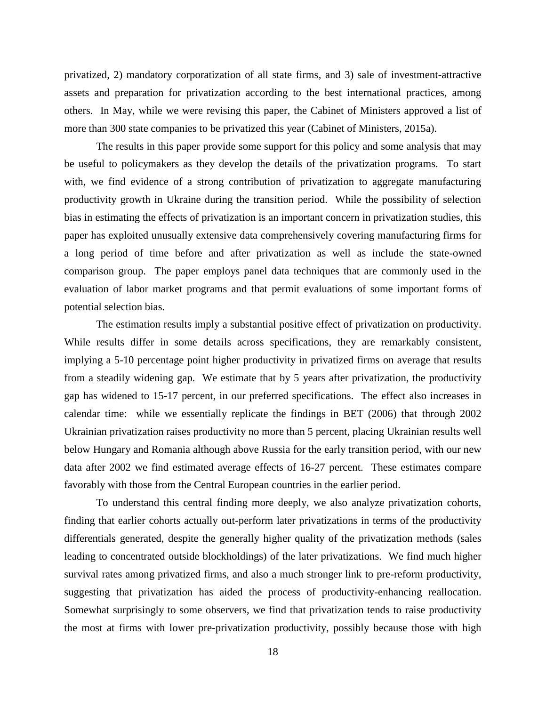privatized, 2) mandatory corporatization of all state firms, and 3) sale of investment-attractive assets and preparation for privatization according to the best international practices, among others. In May, while we were revising this paper, the Cabinet of Ministers approved a list of more than 300 state companies to be privatized this year (Cabinet of Ministers, 2015a).

The results in this paper provide some support for this policy and some analysis that may be useful to policymakers as they develop the details of the privatization programs. To start with, we find evidence of a strong contribution of privatization to aggregate manufacturing productivity growth in Ukraine during the transition period. While the possibility of selection bias in estimating the effects of privatization is an important concern in privatization studies, this paper has exploited unusually extensive data comprehensively covering manufacturing firms for a long period of time before and after privatization as well as include the state-owned comparison group. The paper employs panel data techniques that are commonly used in the evaluation of labor market programs and that permit evaluations of some important forms of potential selection bias.

The estimation results imply a substantial positive effect of privatization on productivity. While results differ in some details across specifications, they are remarkably consistent, implying a 5-10 percentage point higher productivity in privatized firms on average that results from a steadily widening gap. We estimate that by 5 years after privatization, the productivity gap has widened to 15-17 percent, in our preferred specifications. The effect also increases in calendar time: while we essentially replicate the findings in BET (2006) that through 2002 Ukrainian privatization raises productivity no more than 5 percent, placing Ukrainian results well below Hungary and Romania although above Russia for the early transition period, with our new data after 2002 we find estimated average effects of 16-27 percent. These estimates compare favorably with those from the Central European countries in the earlier period.

To understand this central finding more deeply, we also analyze privatization cohorts, finding that earlier cohorts actually out-perform later privatizations in terms of the productivity differentials generated, despite the generally higher quality of the privatization methods (sales leading to concentrated outside blockholdings) of the later privatizations. We find much higher survival rates among privatized firms, and also a much stronger link to pre-reform productivity, suggesting that privatization has aided the process of productivity-enhancing reallocation. Somewhat surprisingly to some observers, we find that privatization tends to raise productivity the most at firms with lower pre-privatization productivity, possibly because those with high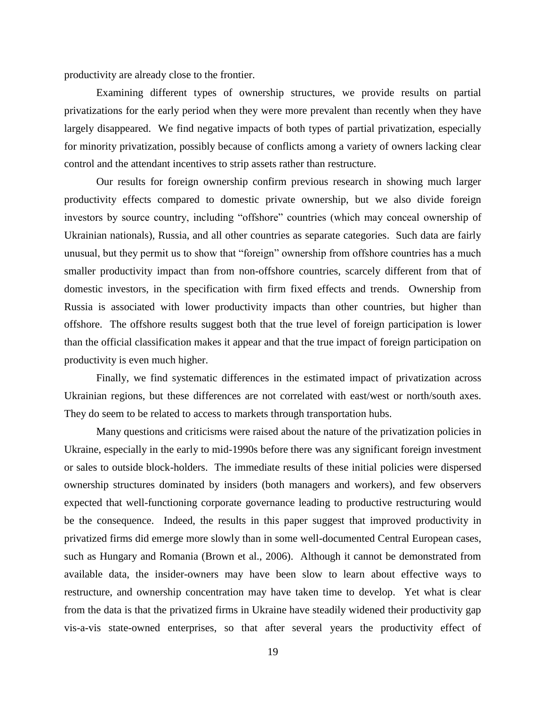productivity are already close to the frontier.

Examining different types of ownership structures, we provide results on partial privatizations for the early period when they were more prevalent than recently when they have largely disappeared. We find negative impacts of both types of partial privatization, especially for minority privatization, possibly because of conflicts among a variety of owners lacking clear control and the attendant incentives to strip assets rather than restructure.

Our results for foreign ownership confirm previous research in showing much larger productivity effects compared to domestic private ownership, but we also divide foreign investors by source country, including "offshore" countries (which may conceal ownership of Ukrainian nationals), Russia, and all other countries as separate categories. Such data are fairly unusual, but they permit us to show that "foreign" ownership from offshore countries has a much smaller productivity impact than from non-offshore countries, scarcely different from that of domestic investors, in the specification with firm fixed effects and trends. Ownership from Russia is associated with lower productivity impacts than other countries, but higher than offshore. The offshore results suggest both that the true level of foreign participation is lower than the official classification makes it appear and that the true impact of foreign participation on productivity is even much higher.

Finally, we find systematic differences in the estimated impact of privatization across Ukrainian regions, but these differences are not correlated with east/west or north/south axes. They do seem to be related to access to markets through transportation hubs.

Many questions and criticisms were raised about the nature of the privatization policies in Ukraine, especially in the early to mid-1990s before there was any significant foreign investment or sales to outside block-holders. The immediate results of these initial policies were dispersed ownership structures dominated by insiders (both managers and workers), and few observers expected that well-functioning corporate governance leading to productive restructuring would be the consequence. Indeed, the results in this paper suggest that improved productivity in privatized firms did emerge more slowly than in some well-documented Central European cases, such as Hungary and Romania (Brown et al., 2006). Although it cannot be demonstrated from available data, the insider-owners may have been slow to learn about effective ways to restructure, and ownership concentration may have taken time to develop. Yet what is clear from the data is that the privatized firms in Ukraine have steadily widened their productivity gap vis-a-vis state-owned enterprises, so that after several years the productivity effect of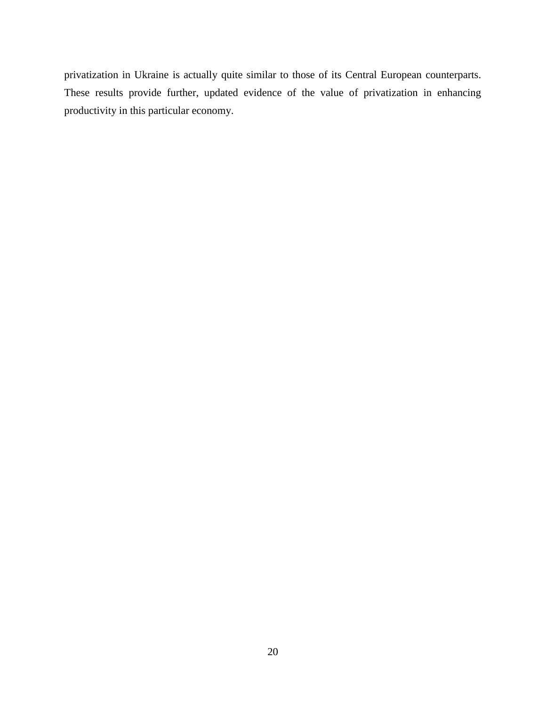privatization in Ukraine is actually quite similar to those of its Central European counterparts. These results provide further, updated evidence of the value of privatization in enhancing productivity in this particular economy.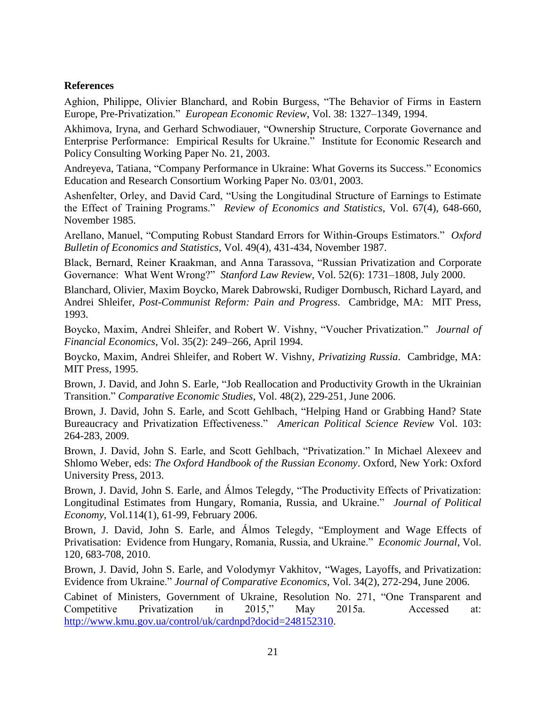### **References**

Aghion, Philippe, Olivier Blanchard, and Robin Burgess, "The Behavior of Firms in Eastern Europe, Pre-Privatization." *European Economic Review*, Vol. 38: 1327–1349, 1994.

Akhimova, Iryna, and Gerhard Schwodiauer, "Ownership Structure, Corporate Governance and Enterprise Performance: Empirical Results for Ukraine." Institute for Economic Research and Policy Consulting Working Paper No. 21, 2003.

Andreyeva, Tatiana, "Company Performance in Ukraine: What Governs its Success." Economics Education and Research Consortium Working Paper No. 03/01, 2003.

Ashenfelter, Orley, and David Card, "Using the Longitudinal Structure of Earnings to Estimate the Effect of Training Programs." *Review of Economics and Statistics*, Vol. 67(4), 648-660, November 1985.

Arellano, Manuel, "Computing Robust Standard Errors for Within-Groups Estimators." *Oxford Bulletin of Economics and Statistics*, Vol. 49(4), 431-434, November 1987.

Black, Bernard, Reiner Kraakman, and Anna Tarassova, "Russian Privatization and Corporate Governance: What Went Wrong?" *Stanford Law Review*, Vol. 52(6): 1731–1808, July 2000.

Blanchard, Olivier, Maxim Boycko, Marek Dabrowski, Rudiger Dornbusch, Richard Layard, and Andrei Shleifer, *Post-Communist Reform: Pain and Progress*. Cambridge, MA: MIT Press, 1993.

Boycko, Maxim, Andrei Shleifer, and Robert W. Vishny, "Voucher Privatization." *Journal of Financial Economics*, Vol. 35(2): 249–266, April 1994.

Boycko, Maxim, Andrei Shleifer, and Robert W. Vishny, *Privatizing Russia*. Cambridge, MA: MIT Press, 1995.

Brown, J. David, and John S. Earle, "Job Reallocation and Productivity Growth in the Ukrainian Transition." *Comparative Economic Studies*, Vol. 48(2), 229-251, June 2006.

Brown, J. David, John S. Earle, and Scott Gehlbach, "Helping Hand or Grabbing Hand? State Bureaucracy and Privatization Effectiveness." *American Political Science Review* Vol. 103: 264-283, 2009.

Brown, J. David, John S. Earle, and Scott Gehlbach, "Privatization." In Michael Alexeev and Shlomo Weber, eds: *The Oxford Handbook of the Russian Economy*. Oxford, New York: Oxford University Press, 2013.

Brown, J. David, John S. Earle, and Álmos Telegdy, "The Productivity Effects of Privatization: Longitudinal Estimates from Hungary, Romania, Russia, and Ukraine." *Journal of Political Economy*, Vol.114(1), 61-99, February 2006.

Brown, J. David, John S. Earle, and Álmos Telegdy, "Employment and Wage Effects of Privatisation: Evidence from Hungary, Romania, Russia, and Ukraine." *Economic Journal*, Vol. 120, 683-708, 2010.

Brown, J. David, John S. Earle, and Volodymyr Vakhitov, "Wages, Layoffs, and Privatization: Evidence from Ukraine." *Journal of Comparative Economics*, Vol. 34(2), 272-294, June 2006.

Cabinet of Ministers, Government of Ukraine, Resolution No. 271, "One Transparent and Competitive Privatization in 2015," May 2015a. Accessed at: [http://www.kmu.gov.ua/control/uk/cardnpd?docid=248152310.](http://www.kmu.gov.ua/control/uk/cardnpd?docid=248152310)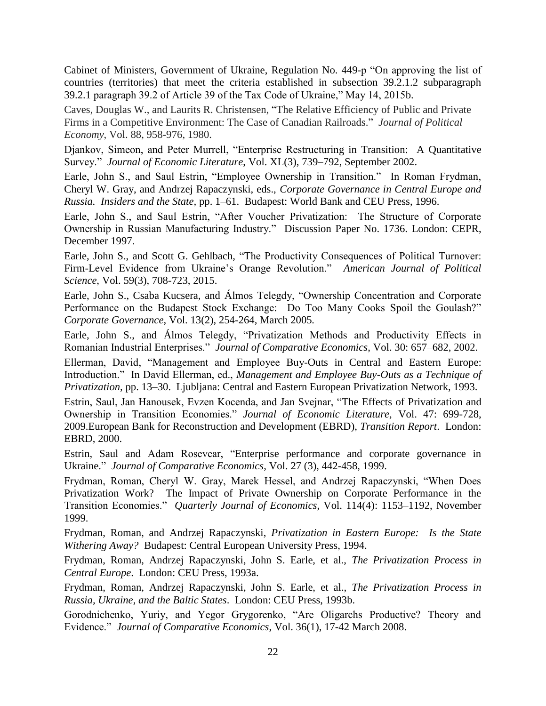Cabinet of Ministers, Government of Ukraine, Regulation No. 449-p "On approving the list of countries (territories) that meet the criteria established in subsection 39.2.1.2 subparagraph 39.2.1 paragraph 39.2 of Article 39 of the Tax Code of Ukraine," May 14, 2015b.

Caves, Douglas W., and Laurits R. Christensen, "The Relative Efficiency of Public and Private Firms in a Competitive Environment: The Case of Canadian Railroads." *Journal of Political Economy*, Vol. 88, 958-976, 1980.

Djankov, Simeon, and Peter Murrell, "Enterprise Restructuring in Transition: A Quantitative Survey." *Journal of Economic Literature*, Vol. XL(3), 739–792, September 2002.

Earle, John S., and Saul Estrin, "Employee Ownership in Transition." In Roman Frydman, Cheryl W. Gray, and Andrzej Rapaczynski, eds., *Corporate Governance in Central Europe and Russia. Insiders and the State,* pp. 1–61. Budapest: World Bank and CEU Press, 1996.

Earle, John S., and Saul Estrin, "After Voucher Privatization: The Structure of Corporate Ownership in Russian Manufacturing Industry." Discussion Paper No. 1736. London: CEPR, December 1997.

Earle, John S., and Scott G. Gehlbach, "The Productivity Consequences of Political Turnover: Firm-Level Evidence from Ukraine's Orange Revolution." *American Journal of Political Science*, Vol. 59(3), 708-723, 2015.

Earle, John S., Csaba Kucsera, and Álmos Telegdy, "Ownership Concentration and Corporate Performance on the Budapest Stock Exchange: Do Too Many Cooks Spoil the Goulash?" *Corporate Governance*, Vol. 13(2), 254-264, March 2005*.*

Earle, John S., and Álmos Telegdy, "Privatization Methods and Productivity Effects in Romanian Industrial Enterprises." *Journal of Comparative Economics*, Vol. 30: 657–682, 2002.

Ellerman, David, "Management and Employee Buy-Outs in Central and Eastern Europe: Introduction." In David Ellerman, ed., *Management and Employee Buy-Outs as a Technique of Privatization,* pp. 13–30. Ljubljana: Central and Eastern European Privatization Network, 1993.

Estrin, Saul, Jan Hanousek, Evzen Kocenda, and Jan Svejnar, "The Effects of Privatization and Ownership in Transition Economies." *Journal of Economic Literature,* Vol. 47: 699-728, 2009.European Bank for Reconstruction and Development (EBRD), *Transition Report*. London: EBRD, 2000.

Estrin, Saul and Adam Rosevear, ["Enterprise performance and corporate governance in](http://eprints.lse.ac.uk/20591/)  [Ukraine."](http://eprints.lse.ac.uk/20591/) *Journal of Comparative Economics*, Vol. 27 (3), 442-458, 1999.

Frydman, Roman, Cheryl W. Gray, Marek Hessel, and Andrzej Rapaczynski, "When Does Privatization Work? The Impact of Private Ownership on Corporate Performance in the Transition Economies." *Quarterly Journal of Economics*, Vol. 114(4): 1153–1192, November 1999.

Frydman, Roman, and Andrzej Rapaczynski, *Privatization in Eastern Europe: Is the State Withering Away?* Budapest: Central European University Press, 1994.

Frydman, Roman, Andrzej Rapaczynski, John S. Earle, et al., *The Privatization Process in Central Europe*. London: CEU Press, 1993a.

Frydman, Roman, Andrzej Rapaczynski, John S. Earle, et al., *The Privatization Process in Russia, Ukraine, and the Baltic States*. London: CEU Press, 1993b.

Gorodnichenko, Yuriy, and Yegor Grygorenko, "Are Oligarchs Productive? Theory and Evidence." *Journal of Comparative Economics*, Vol. 36(1), 17-42 March 2008.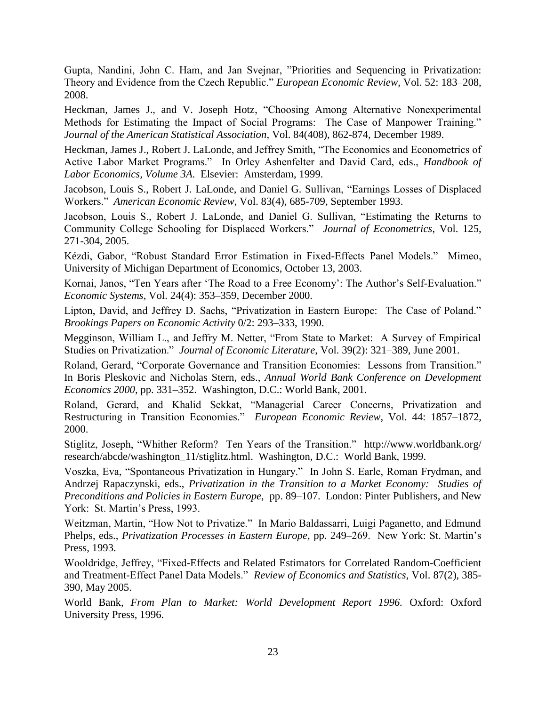Gupta, Nandini, John C. Ham, and Jan Svejnar, "Priorities and Sequencing in Privatization: Theory and Evidence from the Czech Republic." *European Economic Review*, Vol. 52: 183–208, 2008.

Heckman, James J., and V. Joseph Hotz, "Choosing Among Alternative Nonexperimental Methods for Estimating the Impact of Social Programs: The Case of Manpower Training." *Journal of the American Statistical Association*, Vol. 84(408), 862-874, December 1989.

Heckman, James J., Robert J. LaLonde, and Jeffrey Smith, "The Economics and Econometrics of Active Labor Market Programs." In Orley Ashenfelter and David Card, eds., *Handbook of Labor Economics, Volume 3A*. Elsevier: Amsterdam, 1999.

Jacobson, Louis S., Robert J. LaLonde, and Daniel G. Sullivan, "Earnings Losses of Displaced Workers." *American Economic Review*, Vol. 83(4), 685-709, September 1993.

Jacobson, Louis S., Robert J. LaLonde, and Daniel G. Sullivan, "Estimating the Returns to Community College Schooling for Displaced Workers." *Journal of Econometrics*, Vol. 125, 271-304, 2005.

Kézdi, Gabor, "Robust Standard Error Estimation in Fixed-Effects Panel Models." Mimeo, University of Michigan Department of Economics, October 13, 2003.

Kornai, Janos, "Ten Years after 'The Road to a Free Economy': The Author's Self-Evaluation." *Economic Systems*, Vol. 24(4): 353–359, December 2000.

Lipton, David, and Jeffrey D. Sachs, "Privatization in Eastern Europe: The Case of Poland." *Brookings Papers on Economic Activity* 0/2: 293–333, 1990.

Megginson, William L., and Jeffry M. Netter, "From State to Market: A Survey of Empirical Studies on Privatization." *Journal of Economic Literature*, Vol. 39(2): 321–389, June 2001.

Roland, Gerard, "Corporate Governance and Transition Economies: Lessons from Transition." In Boris Pleskovic and Nicholas Stern, eds., *Annual World Bank Conference on Development Economics 2000*, pp. 331–352. Washington, D.C.: World Bank, 2001.

Roland, Gerard, and Khalid Sekkat, "Managerial Career Concerns, Privatization and Restructuring in Transition Economies." *European Economic Review*, Vol. 44: 1857–1872, 2000.

Stiglitz, Joseph, "Whither Reform? Ten Years of the Transition." [http://www.worldbank.org/](http://www.worldbank.org/%20research/abcde/washington_11/stiglitz.html)  [research/abcde/washington\\_11/stiglitz.html.](http://www.worldbank.org/%20research/abcde/washington_11/stiglitz.html) Washington, D.C.: World Bank, 1999.

Voszka, Eva, "Spontaneous Privatization in Hungary." In John S. Earle, Roman Frydman, and Andrzej Rapaczynski, eds., *Privatization in the Transition to a Market Economy: Studies of Preconditions and Policies in Eastern Europe,* pp. 89–107. London: Pinter Publishers, and New York: St. Martin's Press, 1993.

Weitzman, Martin, "How Not to Privatize." In Mario Baldassarri, Luigi Paganetto, and Edmund Phelps, eds., *Privatization Processes in Eastern Europe,* pp. 249–269. New York: St. Martin's Press, 1993.

Wooldridge, Jeffrey, "Fixed-Effects and Related Estimators for Correlated Random-Coefficient and Treatment-Effect Panel Data Models." *Review of Economics and Statistics*, Vol. 87(2), 385- 390, May 2005.

World Bank, *From Plan to Market: World Development Report 1996.* Oxford: Oxford University Press, 1996.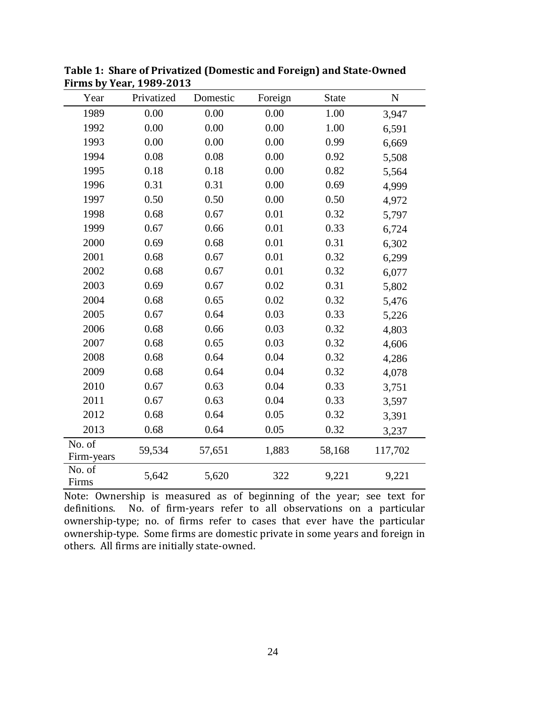| Year                 | Privatized | Domestic | Foreign | <b>State</b> | ${\bf N}$ |
|----------------------|------------|----------|---------|--------------|-----------|
| 1989                 | 0.00       | 0.00     | 0.00    | 1.00         | 3,947     |
| 1992                 | 0.00       | 0.00     | 0.00    | 1.00         | 6,591     |
| 1993                 | 0.00       | 0.00     | 0.00    | 0.99         | 6,669     |
| 1994                 | 0.08       | 0.08     | 0.00    | 0.92         | 5,508     |
| 1995                 | 0.18       | 0.18     | 0.00    | 0.82         | 5,564     |
| 1996                 | 0.31       | 0.31     | 0.00    | 0.69         | 4,999     |
| 1997                 | 0.50       | 0.50     | 0.00    | 0.50         | 4,972     |
| 1998                 | 0.68       | 0.67     | 0.01    | 0.32         | 5,797     |
| 1999                 | 0.67       | 0.66     | 0.01    | 0.33         | 6,724     |
| 2000                 | 0.69       | 0.68     | 0.01    | 0.31         | 6,302     |
| 2001                 | 0.68       | 0.67     | 0.01    | 0.32         | 6,299     |
| 2002                 | 0.68       | 0.67     | 0.01    | 0.32         | 6,077     |
| 2003                 | 0.69       | 0.67     | 0.02    | 0.31         | 5,802     |
| 2004                 | 0.68       | 0.65     | 0.02    | 0.32         | 5,476     |
| 2005                 | 0.67       | 0.64     | 0.03    | 0.33         | 5,226     |
| 2006                 | 0.68       | 0.66     | 0.03    | 0.32         | 4,803     |
| 2007                 | 0.68       | 0.65     | 0.03    | 0.32         | 4,606     |
| 2008                 | 0.68       | 0.64     | 0.04    | 0.32         | 4,286     |
| 2009                 | 0.68       | 0.64     | 0.04    | 0.32         | 4,078     |
| 2010                 | 0.67       | 0.63     | 0.04    | 0.33         | 3,751     |
| 2011                 | 0.67       | 0.63     | 0.04    | 0.33         | 3,597     |
| 2012                 | 0.68       | 0.64     | 0.05    | 0.32         | 3,391     |
| 2013                 | 0.68       | 0.64     | 0.05    | 0.32         | 3,237     |
| No. of<br>Firm-years | 59,534     | 57,651   | 1,883   | 58,168       | 117,702   |
| No. of<br>Firms      | 5,642      | 5,620    | 322     | 9,221        | 9,221     |

**Table 1: Share of Privatized (Domestic and Foreign) and State-Owned Firms by Year, 1989-2013**

Note: Ownership is measured as of beginning of the year; see text for definitions. No. of firm-years refer to all observations on a particular ownership-type; no. of firms refer to cases that ever have the particular ownership-type. Some firms are domestic private in some years and foreign in others. All firms are initially state-owned.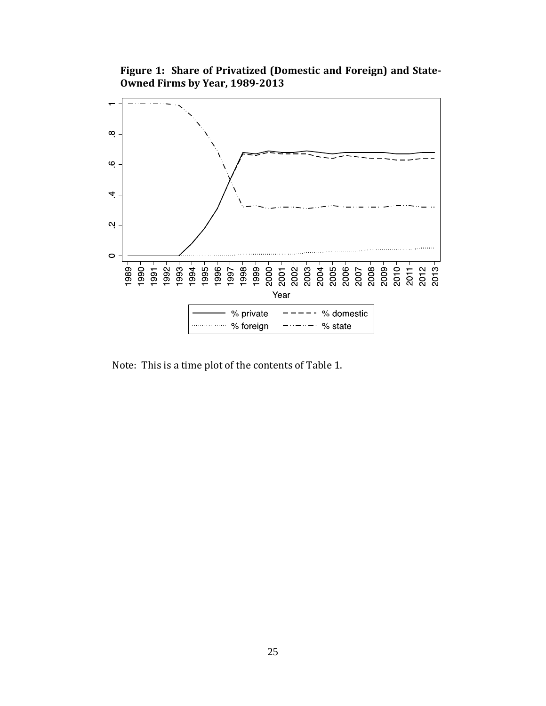**Figure 1: Share of Privatized (Domestic and Foreign) and State-Owned Firms by Year, 1989-2013**



Note: This is a time plot of the contents of Table 1.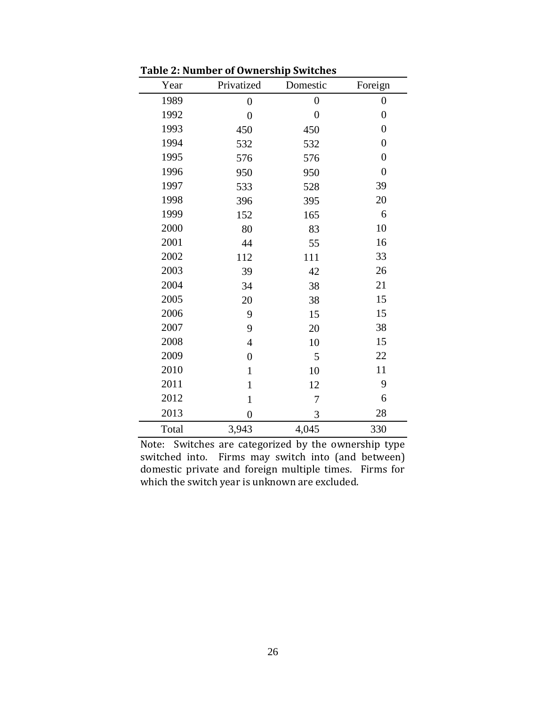| Year  | Privatized       | Domestic         | Foreign          |
|-------|------------------|------------------|------------------|
| 1989  | $\boldsymbol{0}$ | $\boldsymbol{0}$ | $\boldsymbol{0}$ |
| 1992  | $\overline{0}$   | $\overline{0}$   | $\boldsymbol{0}$ |
| 1993  | 450              | 450              | $\overline{0}$   |
| 1994  | 532              | 532              | $\overline{0}$   |
| 1995  | 576              | 576              | $\overline{0}$   |
| 1996  | 950              | 950              | $\overline{0}$   |
| 1997  | 533              | 528              | 39               |
| 1998  | 396              | 395              | 20               |
| 1999  | 152              | 165              | 6                |
| 2000  | 80               | 83               | 10               |
| 2001  | 44               | 55               | 16               |
| 2002  | 112              | 111              | 33               |
| 2003  | 39               | 42               | 26               |
| 2004  | 34               | 38               | 21               |
| 2005  | 20               | 38               | 15               |
| 2006  | 9                | 15               | 15               |
| 2007  | 9                | 20               | 38               |
| 2008  | $\overline{4}$   | 10               | 15               |
| 2009  | $\overline{0}$   | 5                | 22               |
| 2010  | $\mathbf{1}$     | 10               | 11               |
| 2011  | $\mathbf{1}$     | 12               | 9                |
| 2012  | $\mathbf{1}$     | 7                | 6                |
| 2013  | $\overline{0}$   | 3                | 28               |
| Total | 3,943            | 4,045            | 330              |

**Table 2: Number of Ownership Switches**

Note: Switches are categorized by the ownership type switched into. Firms may switch into (and between) domestic private and foreign multiple times. Firms for which the switch year is unknown are excluded.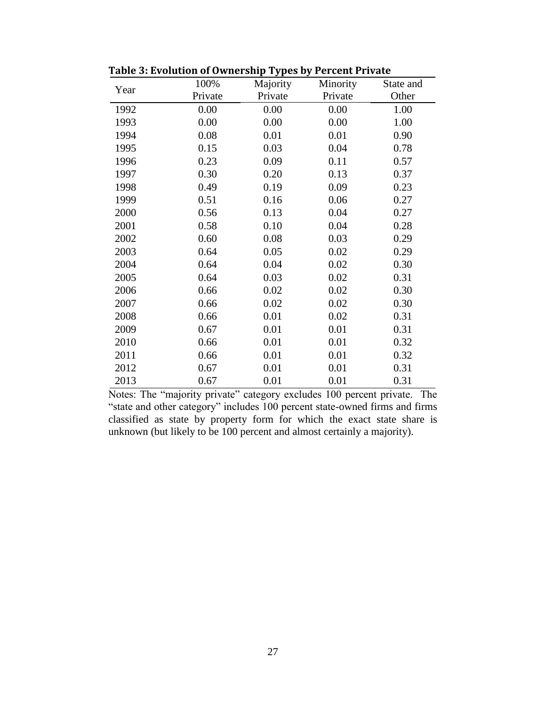| Year | 100%    | Majority | Minority | State and |
|------|---------|----------|----------|-----------|
|      | Private | Private  | Private  | Other     |
| 1992 | 0.00    | 0.00     | 0.00     | 1.00      |
| 1993 | 0.00    | 0.00     | 0.00     | 1.00      |
| 1994 | 0.08    | 0.01     | 0.01     | 0.90      |
| 1995 | 0.15    | 0.03     | 0.04     | 0.78      |
| 1996 | 0.23    | 0.09     | 0.11     | 0.57      |
| 1997 | 0.30    | 0.20     | 0.13     | 0.37      |
| 1998 | 0.49    | 0.19     | 0.09     | 0.23      |
| 1999 | 0.51    | 0.16     | 0.06     | 0.27      |
| 2000 | 0.56    | 0.13     | 0.04     | 0.27      |
| 2001 | 0.58    | 0.10     | 0.04     | 0.28      |
| 2002 | 0.60    | 0.08     | 0.03     | 0.29      |
| 2003 | 0.64    | 0.05     | 0.02     | 0.29      |
| 2004 | 0.64    | 0.04     | 0.02     | 0.30      |
| 2005 | 0.64    | 0.03     | 0.02     | 0.31      |
| 2006 | 0.66    | 0.02     | 0.02     | 0.30      |
| 2007 | 0.66    | 0.02     | 0.02     | 0.30      |
| 2008 | 0.66    | 0.01     | 0.02     | 0.31      |
| 2009 | 0.67    | 0.01     | 0.01     | 0.31      |
| 2010 | 0.66    | 0.01     | 0.01     | 0.32      |
| 2011 | 0.66    | 0.01     | 0.01     | 0.32      |
| 2012 | 0.67    | 0.01     | 0.01     | 0.31      |
| 2013 | 0.67    | 0.01     | 0.01     | 0.31      |

**Table 3: Evolution of Ownership Types by Percent Private**

Notes: The "majority private" category excludes 100 percent private. The "state and other category" includes 100 percent state-owned firms and firms classified as state by property form for which the exact state share is unknown (but likely to be 100 percent and almost certainly a majority).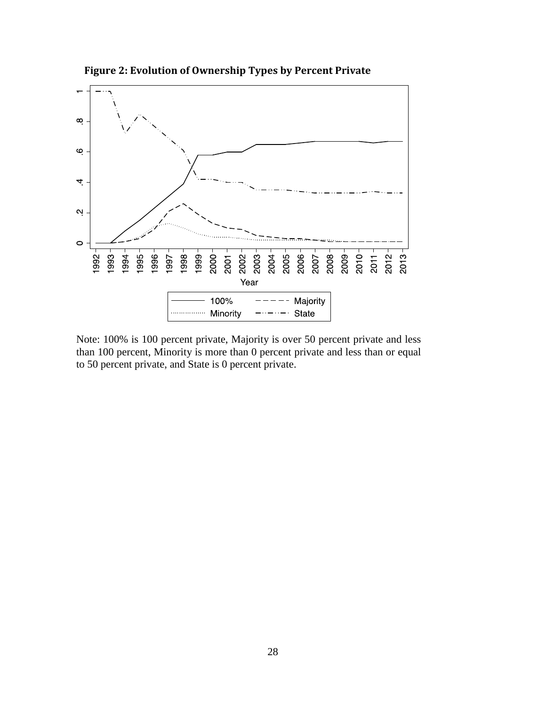

**Figure 2: Evolution of Ownership Types by Percent Private** 

Note: 100% is 100 percent private, Majority is over 50 percent private and less than 100 percent, Minority is more than 0 percent private and less than or equal to 50 percent private, and State is 0 percent private.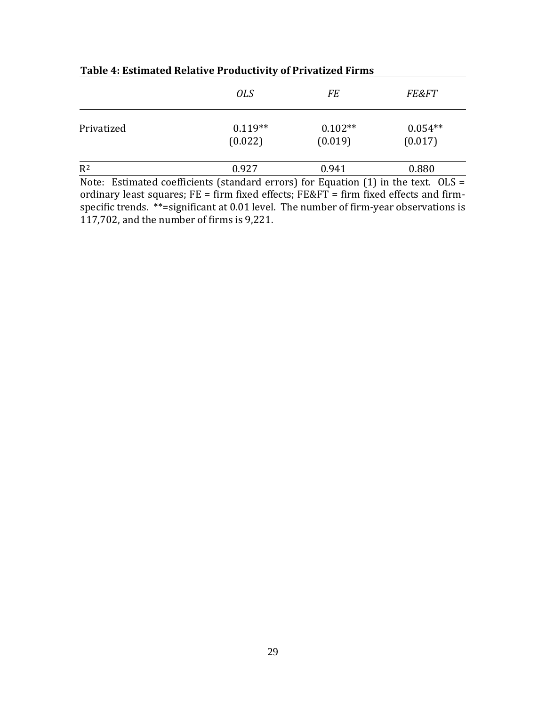|            | <i>OLS</i>           | FE                   | <b>FE&amp;FT</b>     |
|------------|----------------------|----------------------|----------------------|
| Privatized | $0.119**$<br>(0.022) | $0.102**$<br>(0.019) | $0.054**$<br>(0.017) |
| $R^2$      | 0.927                | 0.941                | 0.880                |

### **Table 4: Estimated Relative Productivity of Privatized Firms**

Note: Estimated coefficients (standard errors) for Equation (1) in the text. OLS = ordinary least squares;  $FE = firm$  fixed effects;  $FE&FT = firm$  fixed effects and firmspecific trends. \*\*=significant at 0.01 level. The number of firm-year observations is 117,702, and the number of firms is 9,221.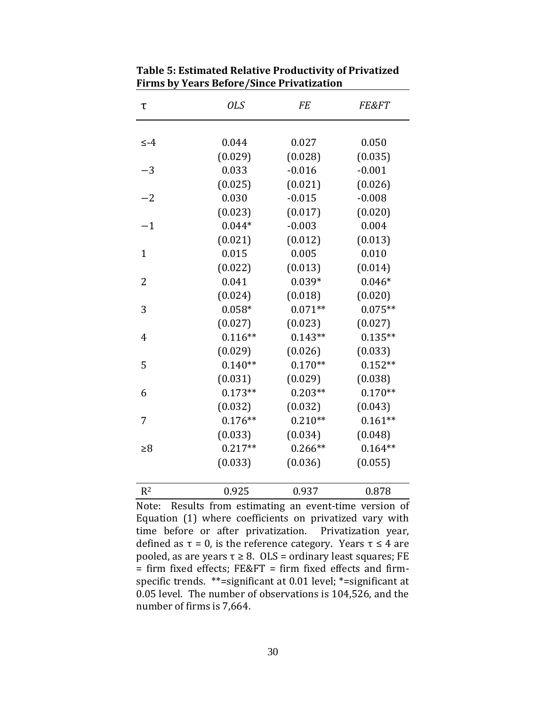| τ              | <b>OLS</b> | <b>FE</b> | <b>FE&amp;FT</b> |
|----------------|------------|-----------|------------------|
|                |            |           |                  |
| ≤-4            | 0.044      | 0.027     | 0.050            |
|                | (0.029)    | (0.028)   | (0.035)          |
| $-3$           | 0.033      | $-0.016$  | $-0.001$         |
|                | (0.025)    | (0.021)   | (0.026)          |
| $-2$           | 0.030      | $-0.015$  | $-0.008$         |
|                | (0.023)    | (0.017)   | (0.020)          |
| $-1$           | $0.044*$   | $-0.003$  | 0.004            |
|                | (0.021)    | (0.012)   | (0.013)          |
| $\mathbf{1}$   | 0.015      | 0.005     | 0.010            |
|                | (0.022)    | (0.013)   | (0.014)          |
| $\overline{2}$ | 0.041      | $0.039*$  | $0.046*$         |
|                | (0.024)    | (0.018)   | (0.020)          |
| 3              | $0.058*$   | $0.071**$ | $0.075**$        |
|                | (0.027)    | (0.023)   | (0.027)          |
| 4              | $0.116**$  | $0.143**$ | $0.135**$        |
|                | (0.029)    | (0.026)   | (0.033)          |
| 5              | $0.140**$  | $0.170**$ | $0.152**$        |
|                | (0.031)    | (0.029)   | (0.038)          |
| 6              | $0.173**$  | $0.203**$ | $0.170**$        |
|                | (0.032)    | (0.032)   | (0.043)          |
| 7              | $0.176**$  | $0.210**$ | $0.161**$        |
|                | (0.033)    | (0.034)   | (0.048)          |
| $\geq 8$       | $0.217**$  | $0.266**$ | $0.164**$        |
|                | (0.033)    | (0.036)   | (0.055)          |
| $R^2$          | 0.925      | 0.937     | 0.878            |

**Table 5: Estimated Relative Productivity of Privatized Firms by Years Before/Since Privatization** 

Note: Results from estimating an event-time version of Equation (1) where coefficients on privatized vary with time before or after privatization. Privatization year, defined as  $\tau = 0$ , is the reference category. Years  $\tau \leq 4$  are pooled, as are years  $\tau \geq 8$ . OLS = ordinary least squares; FE = firm fixed effects; FE&FT = firm fixed effects and firmspecific trends. \*\*=significant at 0.01 level; \*=significant at 0.05 level. The number of observations is 104,526, and the number of firms is 7,664.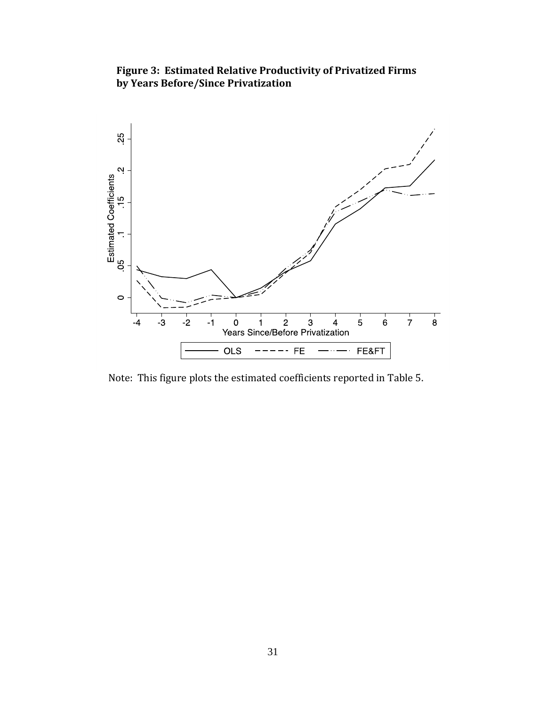### **Figure 3: Estimated Relative Productivity of Privatized Firms by Years Before/Since Privatization**



Note: This figure plots the estimated coefficients reported in Table 5.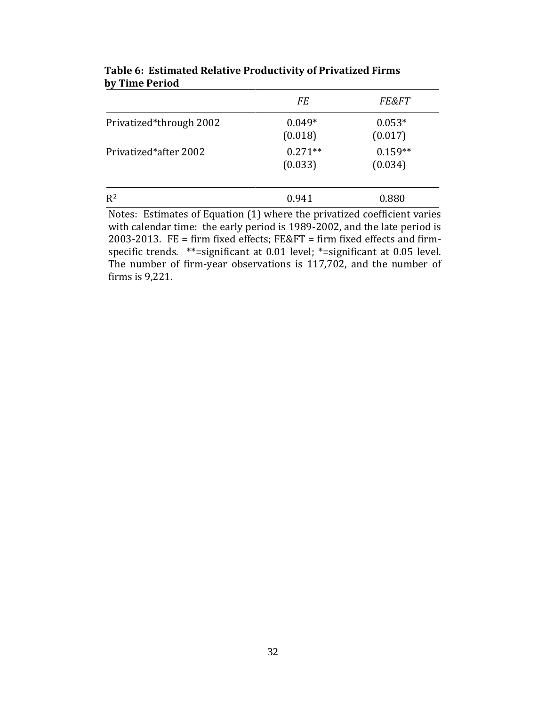|                         | <b>FE</b>            | <b>FE&amp;FT</b>     |
|-------------------------|----------------------|----------------------|
| Privatized*through 2002 | $0.049*$<br>(0.018)  | $0.053*$<br>(0.017)  |
| Privatized*after 2002   | $0.271**$<br>(0.033) | $0.159**$<br>(0.034) |
| $R^2$                   | 0.941                | 0.880                |

**Table 6: Estimated Relative Productivity of Privatized Firms by Time Period**

Notes: Estimates of Equation (1) where the privatized coefficient varies with calendar time: the early period is 1989-2002, and the late period is 2003-2013. FE = firm fixed effects; FE&FT = firm fixed effects and firmspecific trends. \*\*=significant at 0.01 level; \*=significant at 0.05 level. The number of firm-year observations is 117,702, and the number of firms is 9,221.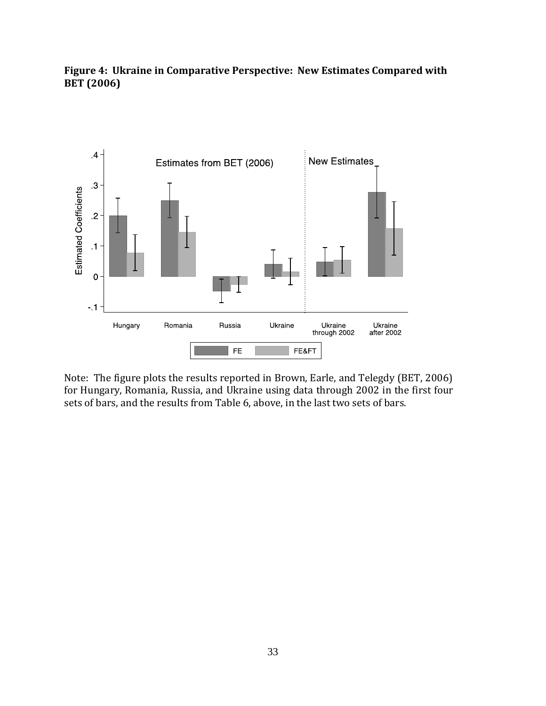**Figure 4: Ukraine in Comparative Perspective: New Estimates Compared with BET (2006)**



Note: The figure plots the results reported in Brown, Earle, and Telegdy (BET, 2006) for Hungary, Romania, Russia, and Ukraine using data through 2002 in the first four sets of bars, and the results from Table 6, above, in the last two sets of bars.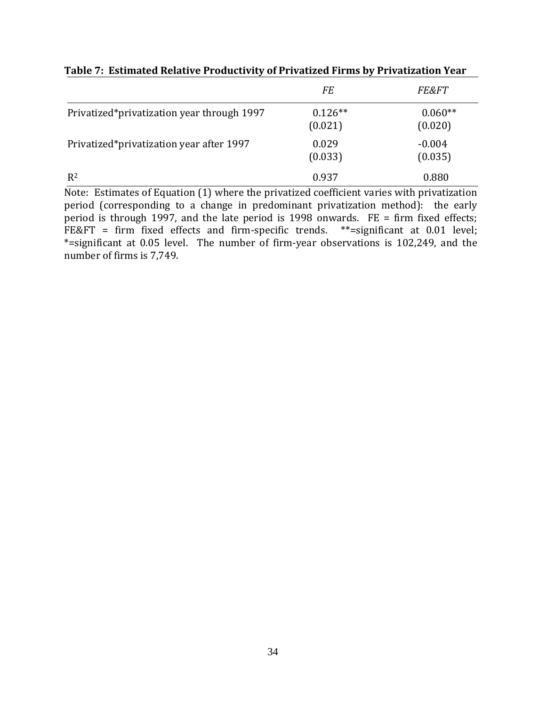|                                            | FE                   | <b>FE&amp;FT</b>     |
|--------------------------------------------|----------------------|----------------------|
| Privatized*privatization year through 1997 | $0.126**$<br>(0.021) | $0.060**$<br>(0.020) |
| Privatized*privatization year after 1997   | 0.029<br>(0.033)     | $-0.004$<br>(0.035)  |
| $R^2$                                      | 0.937                | 0.880                |

**Table 7: Estimated Relative Productivity of Privatized Firms by Privatization Year**

Note: Estimates of Equation (1) where the privatized coefficient varies with privatization period (corresponding to a change in predominant privatization method): the early period is through 1997, and the late period is 1998 onwards. FE = firm fixed effects; FE&FT = firm fixed effects and firm-specific trends. \*\*= significant at 0.01 level; \*=significant at 0.05 level. The number of firm-year observations is 102,249, and the number of firms is 7,749.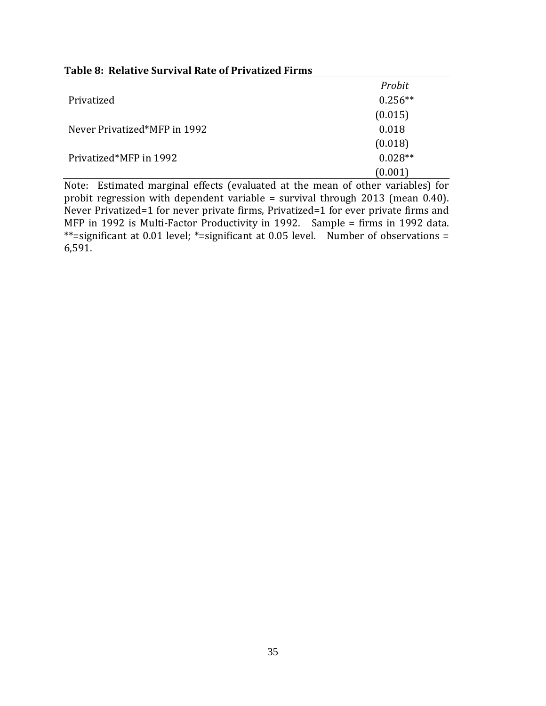|                              | Probit    |
|------------------------------|-----------|
| Privatized                   | $0.256**$ |
|                              | (0.015)   |
| Never Privatized*MFP in 1992 | 0.018     |
|                              | (0.018)   |
| Privatized*MFP in 1992       | $0.028**$ |
|                              | (0.001)   |

### **Table 8: Relative Survival Rate of Privatized Firms**

Note: Estimated marginal effects (evaluated at the mean of other variables) for probit regression with dependent variable = survival through 2013 (mean 0.40). Never Privatized=1 for never private firms, Privatized=1 for ever private firms and MFP in 1992 is Multi-Factor Productivity in 1992. Sample = firms in 1992 data. \*\*=significant at 0.01 level; \*=significant at 0.05 level. Number of observations = 6,591.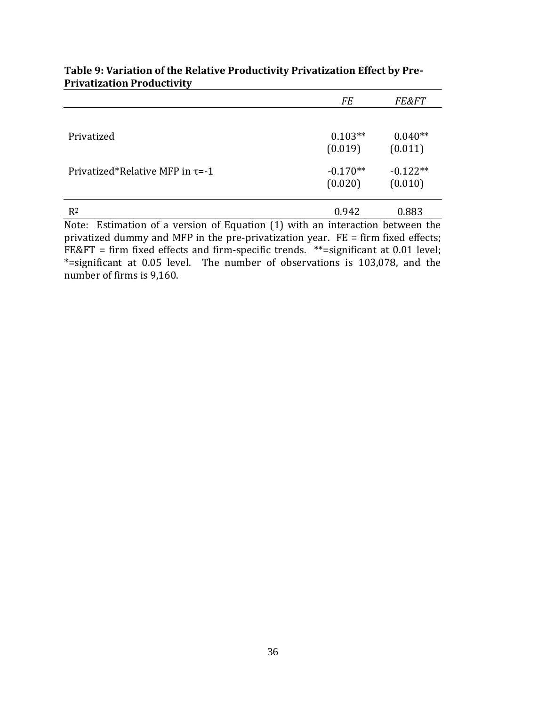|                                                                                  | <b>FE</b>  | <i>FE&amp;FT</i> |
|----------------------------------------------------------------------------------|------------|------------------|
|                                                                                  |            |                  |
| Privatized                                                                       | $0.103**$  | $0.040**$        |
|                                                                                  | (0.019)    | (0.011)          |
| Privatized*Relative MFP in $\tau = -1$                                           | $-0.170**$ | $-0.122**$       |
|                                                                                  | (0.020)    | (0.010)          |
| $R^2$                                                                            | 0.942      | 0.883            |
| Note:<br>Estimation of a version of Equation (1) with an interaction between the |            |                  |

### **Table 9: Variation of the Relative Productivity Privatization Effect by Pre-Privatization Productivity**

Note: Estimation of a version of Equation (1) with an interaction between the privatized dummy and MFP in the pre-privatization year. FE = firm fixed effects; FE&FT = firm fixed effects and firm-specific trends.  $**$ =significant at 0.01 level; \*=significant at 0.05 level. The number of observations is 103,078, and the number of firms is 9,160.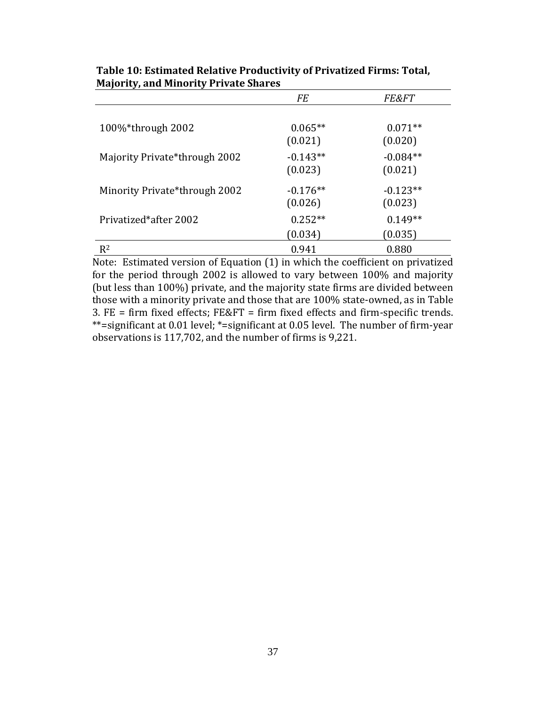|                               | <b>FE</b>  | <b>FE&amp;FT</b> |
|-------------------------------|------------|------------------|
|                               |            |                  |
| 100%*through 2002             | $0.065**$  | $0.071**$        |
|                               | (0.021)    | (0.020)          |
| Majority Private*through 2002 | $-0.143**$ | $-0.084**$       |
|                               | (0.023)    | (0.021)          |
| Minority Private*through 2002 | $-0.176**$ | $-0.123**$       |
|                               | (0.026)    | (0.023)          |
| Privatized*after 2002         | $0.252**$  | $0.149**$        |
|                               | (0.034)    | (0.035)          |
| $R^2$                         | 0.941      | 0.880            |

**Table 10: Estimated Relative Productivity of Privatized Firms: Total, Majority, and Minority Private Shares**

Note: Estimated version of Equation (1) in which the coefficient on privatized for the period through 2002 is allowed to vary between 100% and majority (but less than 100%) private, and the majority state firms are divided between those with a minority private and those that are 100% state-owned, as in Table 3. FE = firm fixed effects; FE&FT = firm fixed effects and firm-specific trends. \*\*=significant at 0.01 level; \*=significant at 0.05 level. The number of firm-year observations is 117,702, and the number of firms is 9,221.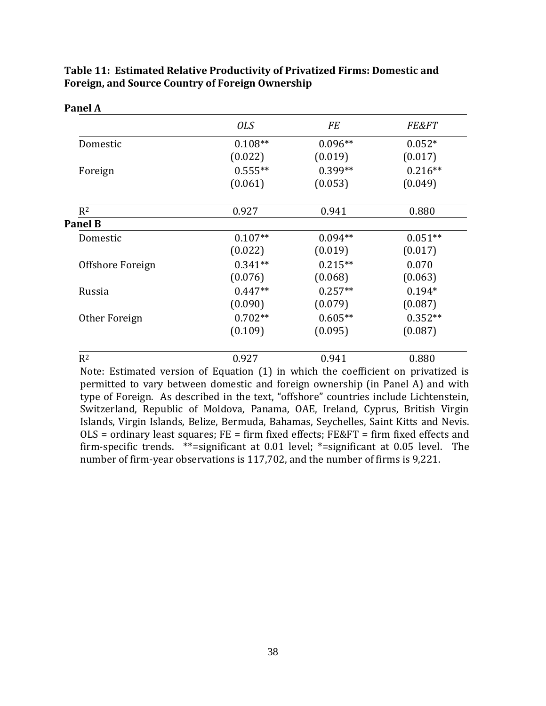|                  | <b>OLS</b> | <b>FE</b> | <b>FE&amp;FT</b> |
|------------------|------------|-----------|------------------|
| Domestic         | $0.108**$  | $0.096**$ | $0.052*$         |
|                  | (0.022)    | (0.019)   | (0.017)          |
| Foreign          | $0.555**$  | $0.399**$ | $0.216**$        |
|                  | (0.061)    | (0.053)   | (0.049)          |
| $R^2$            | 0.927      | 0.941     | 0.880            |
| <b>Panel B</b>   |            |           |                  |
| Domestic         | $0.107**$  | $0.094**$ | $0.051**$        |
|                  | (0.022)    | (0.019)   | (0.017)          |
| Offshore Foreign | $0.341**$  | $0.215**$ | 0.070            |
|                  | (0.076)    | (0.068)   | (0.063)          |
| Russia           | $0.447**$  | $0.257**$ | $0.194*$         |
|                  | (0.090)    | (0.079)   | (0.087)          |
| Other Foreign    | $0.702**$  | $0.605**$ | $0.352**$        |
|                  | (0.109)    | (0.095)   | (0.087)          |
| $R^2$            | 0.927      | 0.941     | 0.880            |

### **Table 11: Estimated Relative Productivity of Privatized Firms: Domestic and Foreign, and Source Country of Foreign Ownership**

Note: Estimated version of Equation (1) in which the coefficient on privatized is permitted to vary between domestic and foreign ownership (in Panel A) and with type of Foreign. As described in the text, "offshore" countries include Lichtenstein, Switzerland, Republic of Moldova, Panama, OAE, Ireland, Cyprus, British Virgin Islands, Virgin Islands, Belize, Bermuda, Bahamas, Seychelles, Saint Kitts and Nevis.  $OLS =$  ordinary least squares;  $FE = firm$  fixed effects;  $FE&FT = firm$  firm fixed effects and firm-specific trends. \*\*=significant at 0.01 level; \*=significant at 0.05 level. The number of firm-year observations is 117,702, and the number of firms is 9,221.

**Panel A**